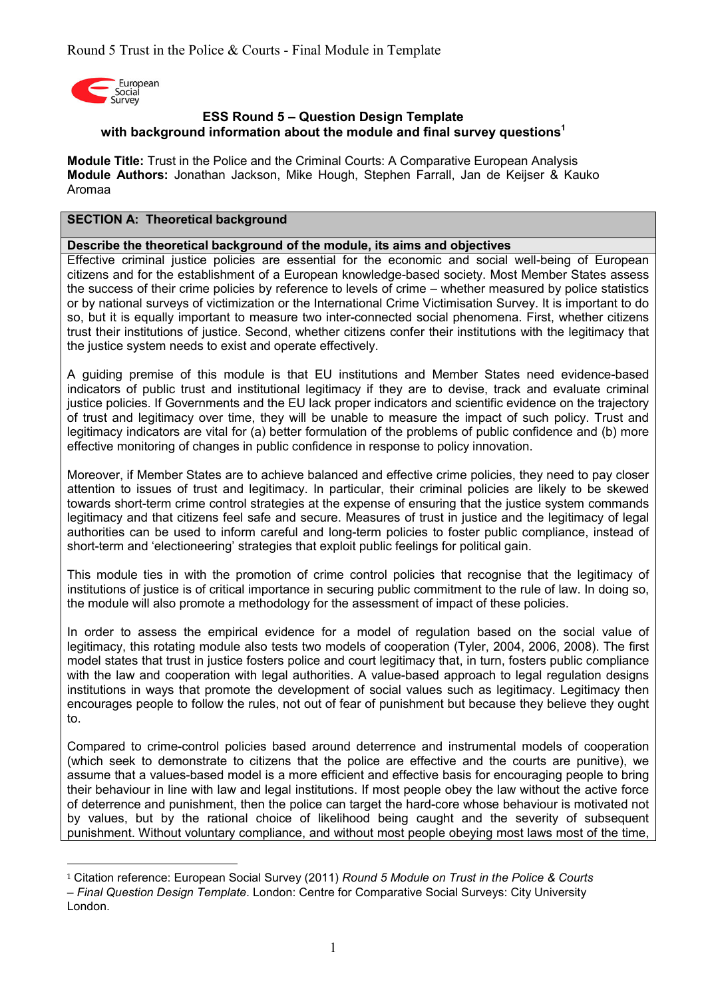

-

## **ESS Round 5 – Question Design Template with background information about the module and final survey questions<sup>1</sup>**

**Module Title:** Trust in the Police and the Criminal Courts: A Comparative European Analysis **Module Authors:** Jonathan Jackson, Mike Hough, Stephen Farrall, Jan de Keijser & Kauko Aromaa

#### **SECTION A: Theoretical background**

#### **Describe the theoretical background of the module, its aims and objectives**

Effective criminal justice policies are essential for the economic and social well-being of European citizens and for the establishment of a European knowledge-based society. Most Member States assess the success of their crime policies by reference to levels of crime – whether measured by police statistics or by national surveys of victimization or the International Crime Victimisation Survey. It is important to do so, but it is equally important to measure two inter-connected social phenomena. First, whether citizens trust their institutions of justice. Second, whether citizens confer their institutions with the legitimacy that the justice system needs to exist and operate effectively.

A guiding premise of this module is that EU institutions and Member States need evidence-based indicators of public trust and institutional legitimacy if they are to devise, track and evaluate criminal justice policies. If Governments and the EU lack proper indicators and scientific evidence on the trajectory of trust and legitimacy over time, they will be unable to measure the impact of such policy. Trust and legitimacy indicators are vital for (a) better formulation of the problems of public confidence and (b) more effective monitoring of changes in public confidence in response to policy innovation.

Moreover, if Member States are to achieve balanced and effective crime policies, they need to pay closer attention to issues of trust and legitimacy. In particular, their criminal policies are likely to be skewed towards short-term crime control strategies at the expense of ensuring that the justice system commands legitimacy and that citizens feel safe and secure. Measures of trust in justice and the legitimacy of legal authorities can be used to inform careful and long-term policies to foster public compliance, instead of short-term and 'electioneering' strategies that exploit public feelings for political gain.

This module ties in with the promotion of crime control policies that recognise that the legitimacy of institutions of justice is of critical importance in securing public commitment to the rule of law. In doing so, the module will also promote a methodology for the assessment of impact of these policies.

In order to assess the empirical evidence for a model of regulation based on the social value of legitimacy, this rotating module also tests two models of cooperation (Tyler, 2004, 2006, 2008). The first model states that trust in justice fosters police and court legitimacy that, in turn, fosters public compliance with the law and cooperation with legal authorities. A value-based approach to legal regulation designs institutions in ways that promote the development of social values such as legitimacy. Legitimacy then encourages people to follow the rules, not out of fear of punishment but because they believe they ought to.

Compared to crime-control policies based around deterrence and instrumental models of cooperation (which seek to demonstrate to citizens that the police are effective and the courts are punitive), we assume that a values-based model is a more efficient and effective basis for encouraging people to bring their behaviour in line with law and legal institutions. If most people obey the law without the active force of deterrence and punishment, then the police can target the hard-core whose behaviour is motivated not by values, but by the rational choice of likelihood being caught and the severity of subsequent punishment. Without voluntary compliance, and without most people obeying most laws most of the time,

<sup>1</sup> Citation reference: European Social Survey (2011) *Round 5 Module on Trust in the Police & Courts – Final Question Design Template*. London: Centre for Comparative Social Surveys: City University London.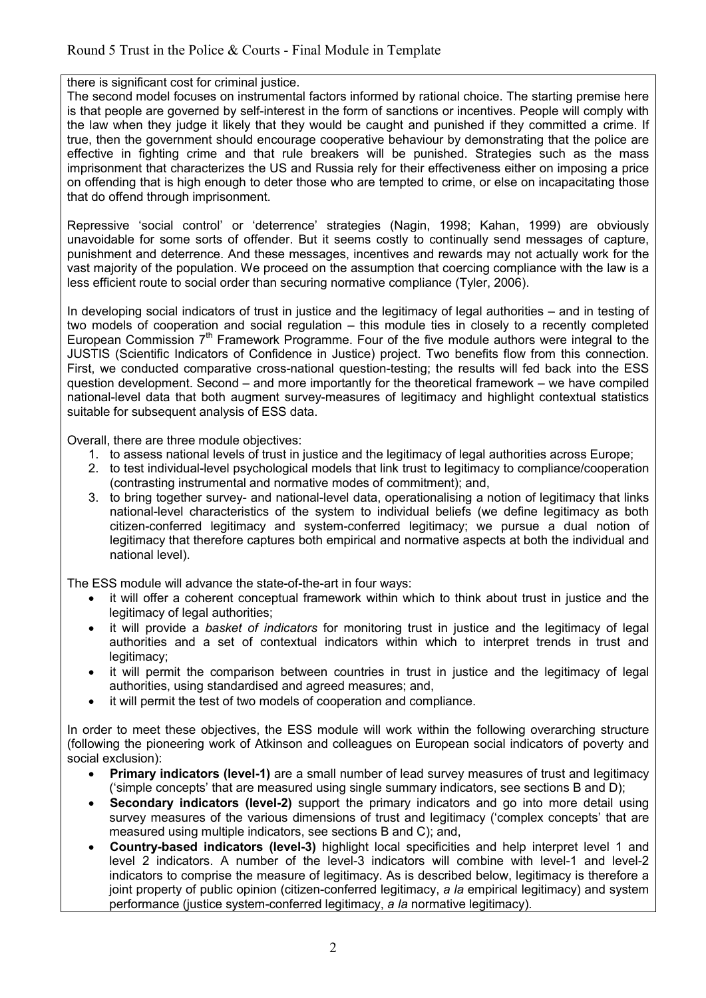there is significant cost for criminal justice.

The second model focuses on instrumental factors informed by rational choice. The starting premise here is that people are governed by self-interest in the form of sanctions or incentives. People will comply with the law when they judge it likely that they would be caught and punished if they committed a crime. If true, then the government should encourage cooperative behaviour by demonstrating that the police are effective in fighting crime and that rule breakers will be punished. Strategies such as the mass imprisonment that characterizes the US and Russia rely for their effectiveness either on imposing a price on offending that is high enough to deter those who are tempted to crime, or else on incapacitating those that do offend through imprisonment.

Repressive 'social control' or 'deterrence' strategies (Nagin, 1998; Kahan, 1999) are obviously unavoidable for some sorts of offender. But it seems costly to continually send messages of capture, punishment and deterrence. And these messages, incentives and rewards may not actually work for the vast majority of the population. We proceed on the assumption that coercing compliance with the law is a less efficient route to social order than securing normative compliance (Tyler, 2006).

In developing social indicators of trust in justice and the legitimacy of legal authorities – and in testing of two models of cooperation and social regulation – this module ties in closely to a recently completed European Commission  $7<sup>th</sup>$  Framework Programme. Four of the five module authors were integral to the JUSTIS (Scientific Indicators of Confidence in Justice) project. Two benefits flow from this connection. First, we conducted comparative cross-national question-testing; the results will fed back into the ESS question development. Second – and more importantly for the theoretical framework – we have compiled national-level data that both augment survey-measures of legitimacy and highlight contextual statistics suitable for subsequent analysis of ESS data.

Overall, there are three module objectives:

- 1. to assess national levels of trust in justice and the legitimacy of legal authorities across Europe;
- 2. to test individual-level psychological models that link trust to legitimacy to compliance/cooperation (contrasting instrumental and normative modes of commitment); and,
- 3. to bring together survey- and national-level data, operationalising a notion of legitimacy that links national-level characteristics of the system to individual beliefs (we define legitimacy as both citizen-conferred legitimacy and system-conferred legitimacy; we pursue a dual notion of legitimacy that therefore captures both empirical and normative aspects at both the individual and national level).

The ESS module will advance the state-of-the-art in four ways:

- it will offer a coherent conceptual framework within which to think about trust in justice and the legitimacy of legal authorities;
- it will provide a *basket of indicators* for monitoring trust in justice and the legitimacy of legal authorities and a set of contextual indicators within which to interpret trends in trust and legitimacy;
- it will permit the comparison between countries in trust in justice and the legitimacy of legal authorities, using standardised and agreed measures; and,
- it will permit the test of two models of cooperation and compliance.

In order to meet these objectives, the ESS module will work within the following overarching structure (following the pioneering work of Atkinson and colleagues on European social indicators of poverty and social exclusion):

- **Primary indicators (level-1)** are a small number of lead survey measures of trust and legitimacy ('simple concepts' that are measured using single summary indicators, see sections B and D);
- **Secondary indicators (level-2)** support the primary indicators and go into more detail using survey measures of the various dimensions of trust and legitimacy ('complex concepts' that are measured using multiple indicators, see sections B and C); and,
- **Country-based indicators (level-3)** highlight local specificities and help interpret level 1 and level 2 indicators. A number of the level-3 indicators will combine with level-1 and level-2 indicators to comprise the measure of legitimacy. As is described below, legitimacy is therefore a joint property of public opinion (citizen-conferred legitimacy, *a la* empirical legitimacy) and system performance (justice system-conferred legitimacy, *a la* normative legitimacy).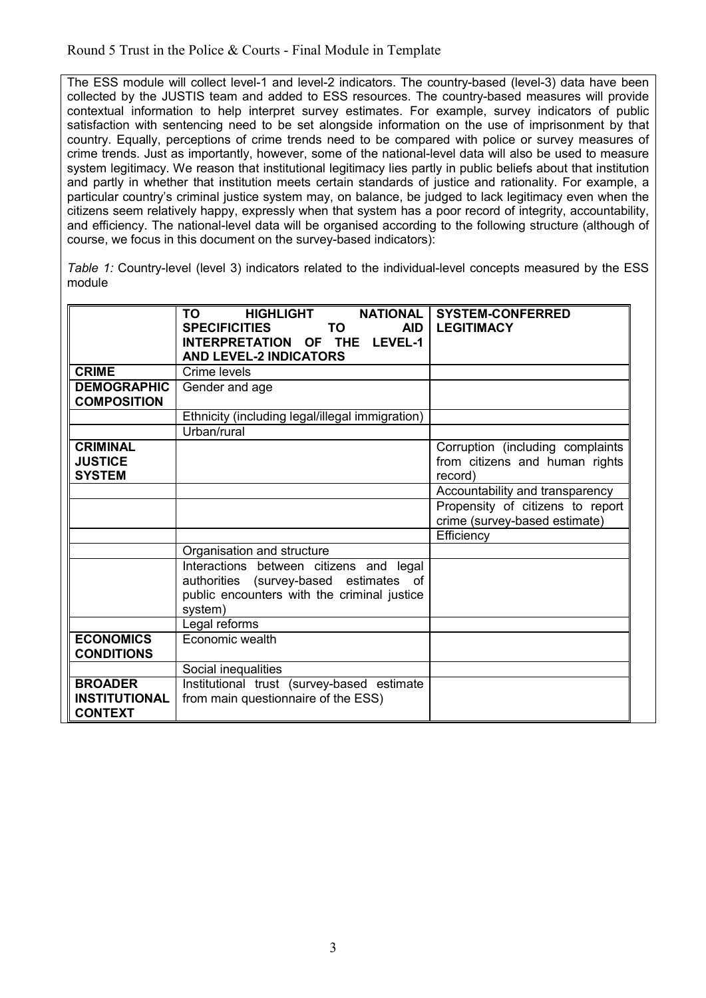The ESS module will collect level-1 and level-2 indicators. The country-based (level-3) data have been collected by the JUSTIS team and added to ESS resources. The country-based measures will provide contextual information to help interpret survey estimates. For example, survey indicators of public satisfaction with sentencing need to be set alongside information on the use of imprisonment by that country. Equally, perceptions of crime trends need to be compared with police or survey measures of crime trends. Just as importantly, however, some of the national-level data will also be used to measure system legitimacy. We reason that institutional legitimacy lies partly in public beliefs about that institution and partly in whether that institution meets certain standards of justice and rationality. For example, a particular country's criminal justice system may, on balance, be judged to lack legitimacy even when the citizens seem relatively happy, expressly when that system has a poor record of integrity, accountability, and efficiency. The national-level data will be organised according to the following structure (although of course, we focus in this document on the survey-based indicators):

*Table 1:* Country-level (level 3) indicators related to the individual-level concepts measured by the ESS module

|                      | HIGHLIGHT NATIONAL<br>TO TO                     | <b>SYSTEM-CONFERRED</b>          |
|----------------------|-------------------------------------------------|----------------------------------|
|                      | <b>SPECIFICITIES</b><br>TO TO<br><b>AID</b>     | <b>LEGITIMACY</b>                |
|                      | INTERPRETATION OF THE LEVEL-1                   |                                  |
|                      | <b>AND LEVEL-2 INDICATORS</b>                   |                                  |
| <b>CRIME</b>         | Crime levels                                    |                                  |
| <b>DEMOGRAPHIC</b>   | Gender and age                                  |                                  |
| <b>COMPOSITION</b>   |                                                 |                                  |
|                      | Ethnicity (including legal/illegal immigration) |                                  |
|                      | Urban/rural                                     |                                  |
| <b>CRIMINAL</b>      |                                                 | Corruption (including complaints |
| <b>JUSTICE</b>       |                                                 | from citizens and human rights   |
| <b>SYSTEM</b>        |                                                 | record)                          |
|                      |                                                 | Accountability and transparency  |
|                      |                                                 | Propensity of citizens to report |
|                      |                                                 | crime (survey-based estimate)    |
|                      |                                                 | Efficiency                       |
|                      | Organisation and structure                      |                                  |
|                      | Interactions between citizens and legal         |                                  |
|                      | authorities (survey-based estimates of          |                                  |
|                      | public encounters with the criminal justice     |                                  |
|                      | system)                                         |                                  |
|                      | Legal reforms                                   |                                  |
| <b>ECONOMICS</b>     | Economic wealth                                 |                                  |
| <b>CONDITIONS</b>    |                                                 |                                  |
|                      | Social inequalities                             |                                  |
| <b>BROADER</b>       | Institutional trust (survey-based estimate      |                                  |
| <b>INSTITUTIONAL</b> | from main questionnaire of the ESS)             |                                  |
| <b>CONTEXT</b>       |                                                 |                                  |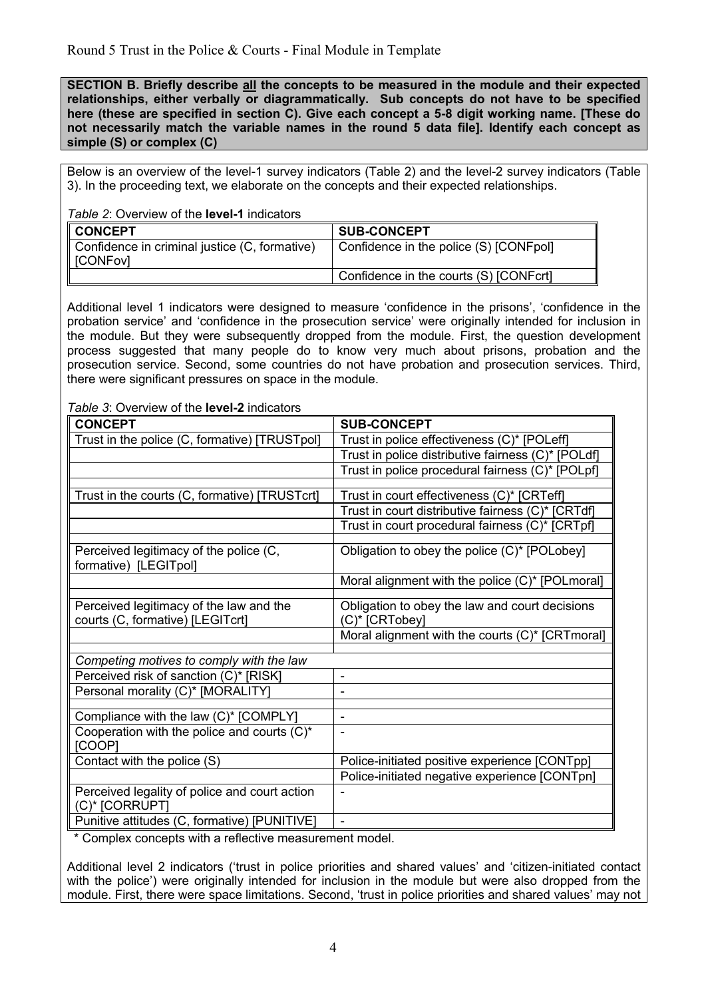**SECTION B. Briefly describe all the concepts to be measured in the module and their expected relationships, either verbally or diagrammatically. Sub concepts do not have to be specified here (these are specified in section C). Give each concept a 5-8 digit working name. [These do not necessarily match the variable names in the round 5 data file]. Identify each concept as simple (S) or complex (C)** 

Below is an overview of the level-1 survey indicators (Table 2) and the level-2 survey indicators (Table 3). In the proceeding text, we elaborate on the concepts and their expected relationships.

*Table 2*: Overview of the **level-1** indicators

| <b>CONCEPT</b>                                              | <b>SUB-CONCEPT</b>                     |
|-------------------------------------------------------------|----------------------------------------|
| Confidence in criminal justice (C, formative)<br>I [CONFov] | Confidence in the police (S) [CONFpol] |
|                                                             | Confidence in the courts (S) [CONFcrt] |

Additional level 1 indicators were designed to measure 'confidence in the prisons', 'confidence in the probation service' and 'confidence in the prosecution service' were originally intended for inclusion in the module. But they were subsequently dropped from the module. First, the question development process suggested that many people do to know very much about prisons, probation and the prosecution service. Second, some countries do not have probation and prosecution services. Third, there were significant pressures on space in the module.

*Table 3*: Overview of the **level-2** indicators

| <b>CONCEPT</b>                                                  | <b>SUB-CONCEPT</b>                                 |
|-----------------------------------------------------------------|----------------------------------------------------|
| Trust in the police (C, formative) [TRUSTpol]                   | Trust in police effectiveness (C)* [POLeff]        |
|                                                                 | Trust in police distributive fairness (C)* [POLdf] |
|                                                                 | Trust in police procedural fairness (C)* [POLpf]   |
|                                                                 |                                                    |
| Trust in the courts (C, formative) [TRUSTcrt]                   | Trust in court effectiveness (C)* [CRTeff]         |
|                                                                 | Trust in court distributive fairness (C)* [CRTdf]  |
|                                                                 | Trust in court procedural fairness (C)* [CRTpf]    |
| Perceived legitimacy of the police (C,<br>formative) [LEGITpol] | Obligation to obey the police (C)* [POLobey]       |
|                                                                 | Moral alignment with the police (C)* [POLmoral]    |
| Perceived legitimacy of the law and the                         | Obligation to obey the law and court decisions     |
| courts (C, formative) [LEGITcrt]                                | (C)* [CRTobey]                                     |
|                                                                 | Moral alignment with the courts (C)* [CRTmoral]    |
|                                                                 |                                                    |
| Competing motives to comply with the law                        |                                                    |
| Perceived risk of sanction (C)* [RISK]                          | $\overline{\phantom{0}}$                           |
| Personal morality (C)* [MORALITY]                               |                                                    |
|                                                                 |                                                    |
| Compliance with the law (C)* [COMPLY]                           | $\blacksquare$                                     |
| Cooperation with the police and courts $(C)^*$<br>[COOP]        | $\blacksquare$                                     |
| Contact with the police (S)                                     | Police-initiated positive experience [CONTpp]      |
|                                                                 | Police-initiated negative experience [CONTpn]      |
| Perceived legality of police and court action<br>(C)* [CORRUPT] | $\blacksquare$                                     |
| Punitive attitudes (C, formative) [PUNITIVE]                    | $\overline{a}$                                     |

\* Complex concepts with a reflective measurement model.

Additional level 2 indicators ('trust in police priorities and shared values' and 'citizen-initiated contact with the police') were originally intended for inclusion in the module but were also dropped from the module. First, there were space limitations. Second, 'trust in police priorities and shared values' may not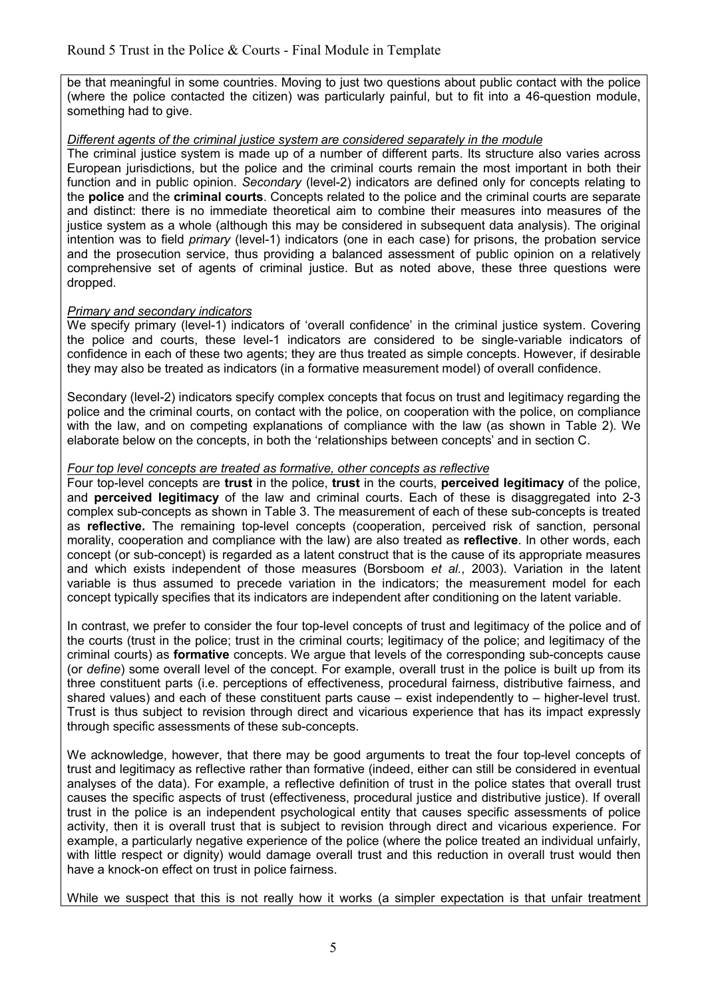be that meaningful in some countries. Moving to just two questions about public contact with the police (where the police contacted the citizen) was particularly painful, but to fit into a 46-question module, something had to give.

#### *Different agents of the criminal justice system are considered separately in the module*

The criminal justice system is made up of a number of different parts. Its structure also varies across European jurisdictions, but the police and the criminal courts remain the most important in both their function and in public opinion. *Secondary* (level-2) indicators are defined only for concepts relating to the **police** and the **criminal courts**. Concepts related to the police and the criminal courts are separate and distinct: there is no immediate theoretical aim to combine their measures into measures of the justice system as a whole (although this may be considered in subsequent data analysis). The original intention was to field *primary* (level-1) indicators (one in each case) for prisons, the probation service and the prosecution service, thus providing a balanced assessment of public opinion on a relatively comprehensive set of agents of criminal justice. But as noted above, these three questions were dropped.

#### *Primary and secondary indicators*

We specify primary (level-1) indicators of 'overall confidence' in the criminal justice system. Covering the police and courts, these level-1 indicators are considered to be single-variable indicators of confidence in each of these two agents; they are thus treated as simple concepts. However, if desirable they may also be treated as indicators (in a formative measurement model) of overall confidence.

Secondary (level-2) indicators specify complex concepts that focus on trust and legitimacy regarding the police and the criminal courts, on contact with the police, on cooperation with the police, on compliance with the law, and on competing explanations of compliance with the law (as shown in Table 2). We elaborate below on the concepts, in both the 'relationships between concepts' and in section C.

#### *Four top level concepts are treated as formative, other concepts as reflective*

Four top-level concepts are **trust** in the police, **trust** in the courts, **perceived legitimacy** of the police, and **perceived legitimacy** of the law and criminal courts. Each of these is disaggregated into 2-3 complex sub-concepts as shown in Table 3. The measurement of each of these sub-concepts is treated as **reflective.** The remaining top-level concepts (cooperation, perceived risk of sanction, personal morality, cooperation and compliance with the law) are also treated as **reflective**. In other words, each concept (or sub-concept) is regarded as a latent construct that is the cause of its appropriate measures and which exists independent of those measures (Borsboom *et al.*, 2003). Variation in the latent variable is thus assumed to precede variation in the indicators; the measurement model for each concept typically specifies that its indicators are independent after conditioning on the latent variable.

In contrast, we prefer to consider the four top-level concepts of trust and legitimacy of the police and of the courts (trust in the police; trust in the criminal courts; legitimacy of the police; and legitimacy of the criminal courts) as **formative** concepts. We argue that levels of the corresponding sub-concepts cause (or *define*) some overall level of the concept. For example, overall trust in the police is built up from its three constituent parts (i.e. perceptions of effectiveness, procedural fairness, distributive fairness, and shared values) and each of these constituent parts cause – exist independently to – higher-level trust. Trust is thus subject to revision through direct and vicarious experience that has its impact expressly through specific assessments of these sub-concepts.

We acknowledge, however, that there may be good arguments to treat the four top-level concepts of trust and legitimacy as reflective rather than formative (indeed, either can still be considered in eventual analyses of the data). For example, a reflective definition of trust in the police states that overall trust causes the specific aspects of trust (effectiveness, procedural justice and distributive justice). If overall trust in the police is an independent psychological entity that causes specific assessments of police activity, then it is overall trust that is subject to revision through direct and vicarious experience. For example, a particularly negative experience of the police (where the police treated an individual unfairly, with little respect or dignity) would damage overall trust and this reduction in overall trust would then have a knock-on effect on trust in police fairness.

While we suspect that this is not really how it works (a simpler expectation is that unfair treatment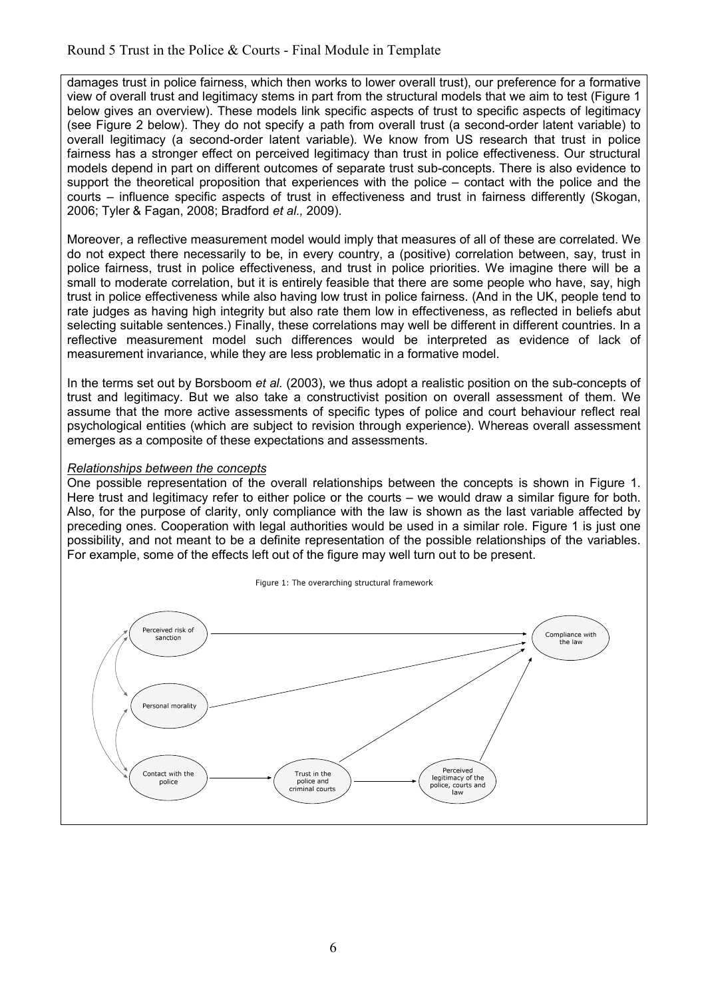damages trust in police fairness, which then works to lower overall trust), our preference for a formative view of overall trust and legitimacy stems in part from the structural models that we aim to test (Figure 1 below gives an overview). These models link specific aspects of trust to specific aspects of legitimacy (see Figure 2 below). They do not specify a path from overall trust (a second-order latent variable) to overall legitimacy (a second-order latent variable). We know from US research that trust in police fairness has a stronger effect on perceived legitimacy than trust in police effectiveness. Our structural models depend in part on different outcomes of separate trust sub-concepts. There is also evidence to support the theoretical proposition that experiences with the police – contact with the police and the courts – influence specific aspects of trust in effectiveness and trust in fairness differently (Skogan, 2006; Tyler & Fagan, 2008; Bradford *et al.,* 2009).

Moreover, a reflective measurement model would imply that measures of all of these are correlated. We do not expect there necessarily to be, in every country, a (positive) correlation between, say, trust in police fairness, trust in police effectiveness, and trust in police priorities. We imagine there will be a small to moderate correlation, but it is entirely feasible that there are some people who have, say, high trust in police effectiveness while also having low trust in police fairness. (And in the UK, people tend to rate judges as having high integrity but also rate them low in effectiveness, as reflected in beliefs abut selecting suitable sentences.) Finally, these correlations may well be different in different countries. In a reflective measurement model such differences would be interpreted as evidence of lack of measurement invariance, while they are less problematic in a formative model.

In the terms set out by Borsboom *et al.* (2003), we thus adopt a realistic position on the sub-concepts of trust and legitimacy. But we also take a constructivist position on overall assessment of them. We assume that the more active assessments of specific types of police and court behaviour reflect real psychological entities (which are subject to revision through experience). Whereas overall assessment emerges as a composite of these expectations and assessments.

#### *Relationships between the concepts*

One possible representation of the overall relationships between the concepts is shown in Figure 1. Here trust and legitimacy refer to either police or the courts – we would draw a similar figure for both. Also, for the purpose of clarity, only compliance with the law is shown as the last variable affected by preceding ones. Cooperation with legal authorities would be used in a similar role. Figure 1 is just one possibility, and not meant to be a definite representation of the possible relationships of the variables. For example, some of the effects left out of the figure may well turn out to be present.

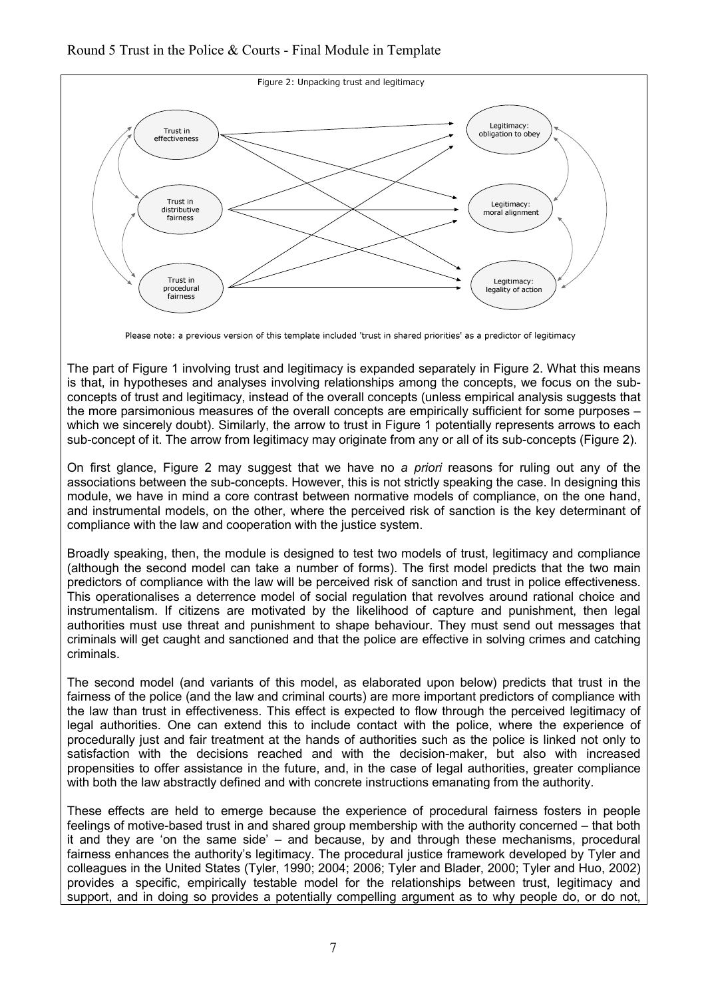

Please note: a previous version of this template included 'trust in shared priorities' as a predictor of legitimacy

The part of Figure 1 involving trust and legitimacy is expanded separately in Figure 2. What this means is that, in hypotheses and analyses involving relationships among the concepts, we focus on the subconcepts of trust and legitimacy, instead of the overall concepts (unless empirical analysis suggests that the more parsimonious measures of the overall concepts are empirically sufficient for some purposes which we sincerely doubt). Similarly, the arrow to trust in Figure 1 potentially represents arrows to each sub-concept of it. The arrow from legitimacy may originate from any or all of its sub-concepts (Figure 2).

On first glance, Figure 2 may suggest that we have no *a priori* reasons for ruling out any of the associations between the sub-concepts. However, this is not strictly speaking the case. In designing this module, we have in mind a core contrast between normative models of compliance, on the one hand, and instrumental models, on the other, where the perceived risk of sanction is the key determinant of compliance with the law and cooperation with the justice system.

Broadly speaking, then, the module is designed to test two models of trust, legitimacy and compliance (although the second model can take a number of forms). The first model predicts that the two main predictors of compliance with the law will be perceived risk of sanction and trust in police effectiveness. This operationalises a deterrence model of social regulation that revolves around rational choice and instrumentalism. If citizens are motivated by the likelihood of capture and punishment, then legal authorities must use threat and punishment to shape behaviour. They must send out messages that criminals will get caught and sanctioned and that the police are effective in solving crimes and catching criminals.

The second model (and variants of this model, as elaborated upon below) predicts that trust in the fairness of the police (and the law and criminal courts) are more important predictors of compliance with the law than trust in effectiveness. This effect is expected to flow through the perceived legitimacy of legal authorities. One can extend this to include contact with the police, where the experience of procedurally just and fair treatment at the hands of authorities such as the police is linked not only to satisfaction with the decisions reached and with the decision-maker, but also with increased propensities to offer assistance in the future, and, in the case of legal authorities, greater compliance with both the law abstractly defined and with concrete instructions emanating from the authority.

These effects are held to emerge because the experience of procedural fairness fosters in people feelings of motive-based trust in and shared group membership with the authority concerned – that both it and they are 'on the same side' – and because, by and through these mechanisms, procedural fairness enhances the authority's legitimacy. The procedural justice framework developed by Tyler and colleagues in the United States (Tyler, 1990; 2004; 2006; Tyler and Blader, 2000; Tyler and Huo, 2002) provides a specific, empirically testable model for the relationships between trust, legitimacy and support, and in doing so provides a potentially compelling argument as to why people do, or do not,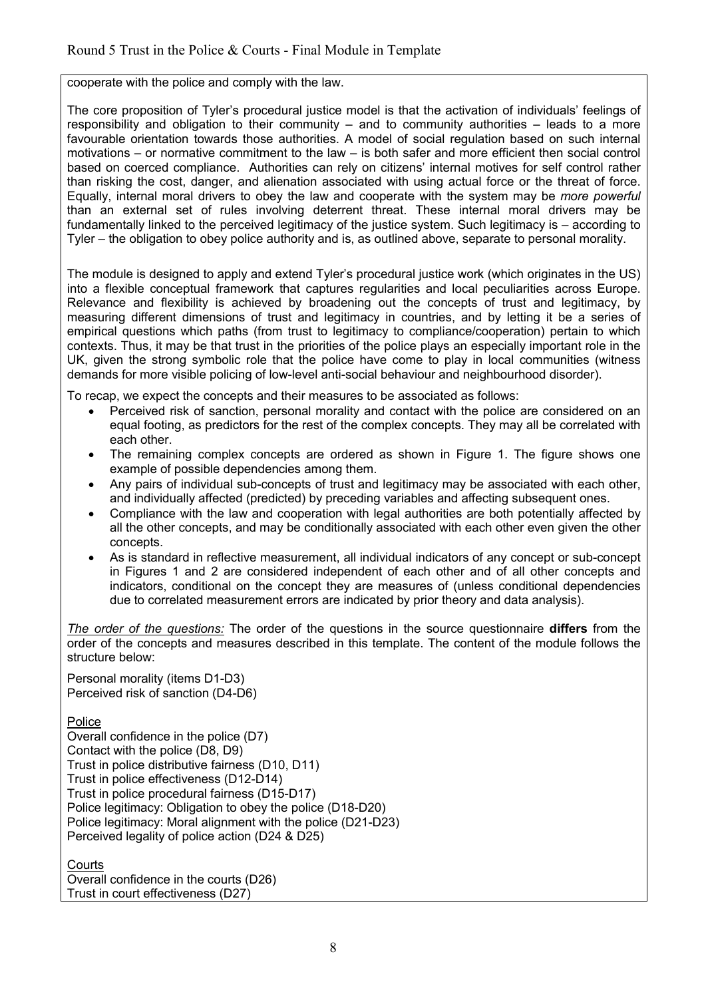cooperate with the police and comply with the law.

The core proposition of Tyler's procedural justice model is that the activation of individuals' feelings of responsibility and obligation to their community – and to community authorities – leads to a more favourable orientation towards those authorities. A model of social regulation based on such internal motivations – or normative commitment to the law – is both safer and more efficient then social control based on coerced compliance. Authorities can rely on citizens' internal motives for self control rather than risking the cost, danger, and alienation associated with using actual force or the threat of force. Equally, internal moral drivers to obey the law and cooperate with the system may be *more powerful* than an external set of rules involving deterrent threat. These internal moral drivers may be fundamentally linked to the perceived legitimacy of the justice system. Such legitimacy is – according to Tyler – the obligation to obey police authority and is, as outlined above, separate to personal morality.

The module is designed to apply and extend Tyler's procedural justice work (which originates in the US) into a flexible conceptual framework that captures regularities and local peculiarities across Europe. Relevance and flexibility is achieved by broadening out the concepts of trust and legitimacy, by measuring different dimensions of trust and legitimacy in countries, and by letting it be a series of empirical questions which paths (from trust to legitimacy to compliance/cooperation) pertain to which contexts. Thus, it may be that trust in the priorities of the police plays an especially important role in the UK, given the strong symbolic role that the police have come to play in local communities (witness demands for more visible policing of low-level anti-social behaviour and neighbourhood disorder).

To recap, we expect the concepts and their measures to be associated as follows:

- Perceived risk of sanction, personal morality and contact with the police are considered on an equal footing, as predictors for the rest of the complex concepts. They may all be correlated with each other.
- The remaining complex concepts are ordered as shown in Figure 1. The figure shows one example of possible dependencies among them.
- Any pairs of individual sub-concepts of trust and legitimacy may be associated with each other, and individually affected (predicted) by preceding variables and affecting subsequent ones.
- Compliance with the law and cooperation with legal authorities are both potentially affected by all the other concepts, and may be conditionally associated with each other even given the other concepts.
- As is standard in reflective measurement, all individual indicators of any concept or sub-concept in Figures 1 and 2 are considered independent of each other and of all other concepts and indicators, conditional on the concept they are measures of (unless conditional dependencies due to correlated measurement errors are indicated by prior theory and data analysis).

*The order of the questions:* The order of the questions in the source questionnaire **differs** from the order of the concepts and measures described in this template. The content of the module follows the structure below:

Personal morality (items D1-D3) Perceived risk of sanction (D4-D6)

Police

Overall confidence in the police (D7) Contact with the police (D8, D9) Trust in police distributive fairness (D10, D11) Trust in police effectiveness (D12-D14) Trust in police procedural fairness (D15-D17) Police legitimacy: Obligation to obey the police (D18-D20) Police legitimacy: Moral alignment with the police (D21-D23) Perceived legality of police action (D24 & D25)

**Courts** 

Overall confidence in the courts (D26) Trust in court effectiveness (D27)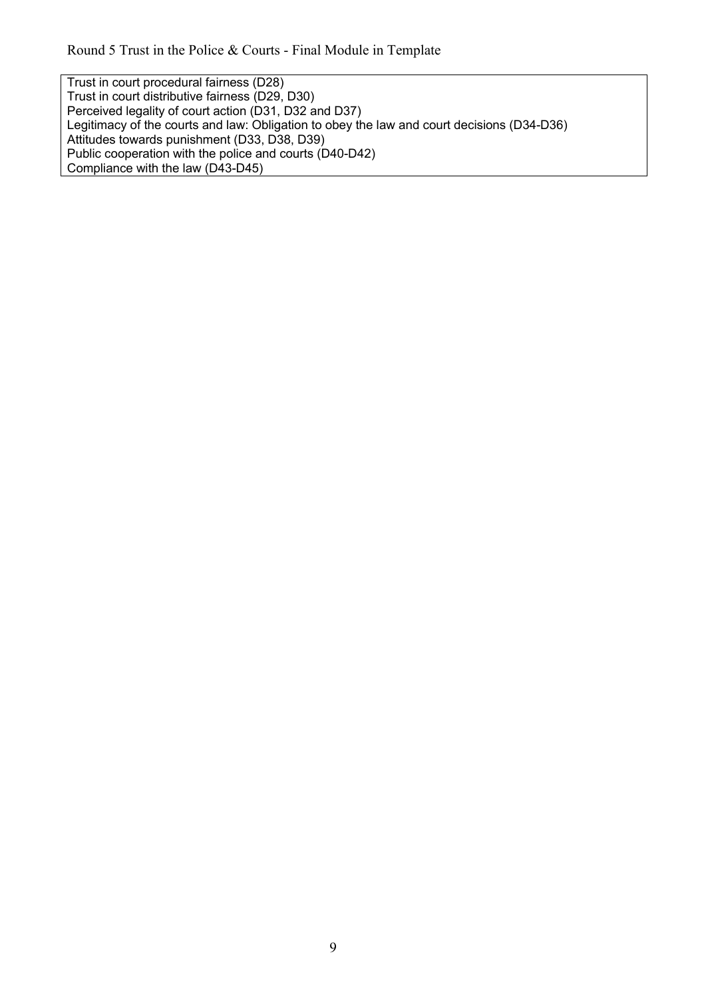Trust in court procedural fairness (D28) Trust in court distributive fairness (D29, D30) Perceived legality of court action (D31, D32 and D37) Legitimacy of the courts and law: Obligation to obey the law and court decisions (D34-D36) Attitudes towards punishment (D33, D38, D39) Public cooperation with the police and courts (D40-D42) Compliance with the law (D43-D45)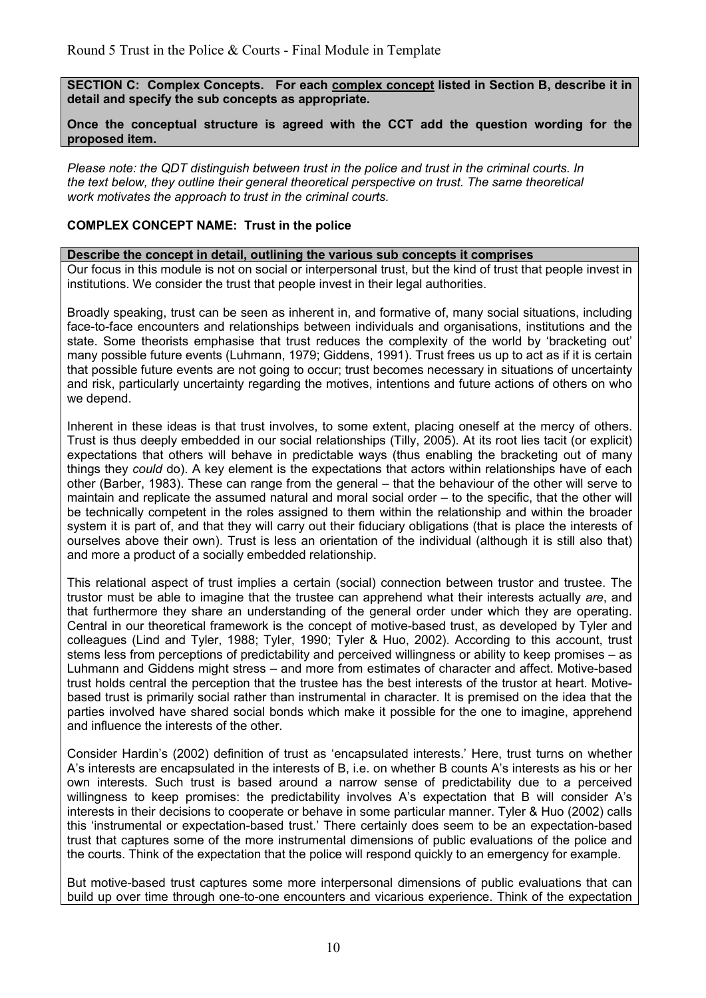**SECTION C: Complex Concepts. For each complex concept listed in Section B, describe it in detail and specify the sub concepts as appropriate.** 

#### **Once the conceptual structure is agreed with the CCT add the question wording for the proposed item.**

*Please note: the QDT distinguish between trust in the police and trust in the criminal courts. In the text below, they outline their general theoretical perspective on trust. The same theoretical work motivates the approach to trust in the criminal courts.* 

#### **COMPLEX CONCEPT NAME: Trust in the police**

#### **Describe the concept in detail, outlining the various sub concepts it comprises**

Our focus in this module is not on social or interpersonal trust, but the kind of trust that people invest in institutions. We consider the trust that people invest in their legal authorities.

Broadly speaking, trust can be seen as inherent in, and formative of, many social situations, including face-to-face encounters and relationships between individuals and organisations, institutions and the state. Some theorists emphasise that trust reduces the complexity of the world by 'bracketing out' many possible future events (Luhmann, 1979; Giddens, 1991). Trust frees us up to act as if it is certain that possible future events are not going to occur; trust becomes necessary in situations of uncertainty and risk, particularly uncertainty regarding the motives, intentions and future actions of others on who we depend.

Inherent in these ideas is that trust involves, to some extent, placing oneself at the mercy of others. Trust is thus deeply embedded in our social relationships (Tilly, 2005). At its root lies tacit (or explicit) expectations that others will behave in predictable ways (thus enabling the bracketing out of many things they *could* do). A key element is the expectations that actors within relationships have of each other (Barber, 1983). These can range from the general – that the behaviour of the other will serve to maintain and replicate the assumed natural and moral social order – to the specific, that the other will be technically competent in the roles assigned to them within the relationship and within the broader system it is part of, and that they will carry out their fiduciary obligations (that is place the interests of ourselves above their own). Trust is less an orientation of the individual (although it is still also that) and more a product of a socially embedded relationship.

This relational aspect of trust implies a certain (social) connection between trustor and trustee. The trustor must be able to imagine that the trustee can apprehend what their interests actually *are*, and that furthermore they share an understanding of the general order under which they are operating. Central in our theoretical framework is the concept of motive-based trust, as developed by Tyler and colleagues (Lind and Tyler, 1988; Tyler, 1990; Tyler & Huo, 2002). According to this account, trust stems less from perceptions of predictability and perceived willingness or ability to keep promises – as Luhmann and Giddens might stress – and more from estimates of character and affect. Motive-based trust holds central the perception that the trustee has the best interests of the trustor at heart. Motivebased trust is primarily social rather than instrumental in character. It is premised on the idea that the parties involved have shared social bonds which make it possible for the one to imagine, apprehend and influence the interests of the other.

Consider Hardin's (2002) definition of trust as 'encapsulated interests.' Here, trust turns on whether A's interests are encapsulated in the interests of B, i.e. on whether B counts A's interests as his or her own interests. Such trust is based around a narrow sense of predictability due to a perceived willingness to keep promises: the predictability involves A's expectation that B will consider A's interests in their decisions to cooperate or behave in some particular manner. Tyler & Huo (2002) calls this 'instrumental or expectation-based trust.' There certainly does seem to be an expectation-based trust that captures some of the more instrumental dimensions of public evaluations of the police and the courts. Think of the expectation that the police will respond quickly to an emergency for example.

But motive-based trust captures some more interpersonal dimensions of public evaluations that can build up over time through one-to-one encounters and vicarious experience. Think of the expectation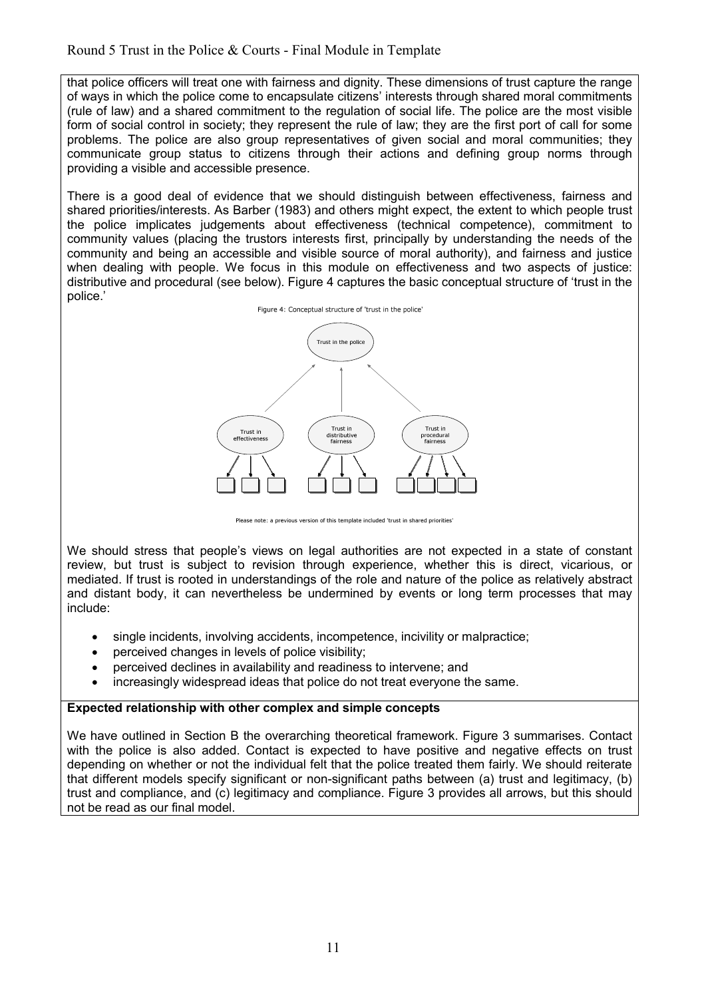that police officers will treat one with fairness and dignity. These dimensions of trust capture the range of ways in which the police come to encapsulate citizens' interests through shared moral commitments (rule of law) and a shared commitment to the regulation of social life. The police are the most visible form of social control in society; they represent the rule of law; they are the first port of call for some problems. The police are also group representatives of given social and moral communities; they communicate group status to citizens through their actions and defining group norms through providing a visible and accessible presence.

There is a good deal of evidence that we should distinguish between effectiveness, fairness and shared priorities/interests. As Barber (1983) and others might expect, the extent to which people trust the police implicates judgements about effectiveness (technical competence), commitment to community values (placing the trustors interests first, principally by understanding the needs of the community and being an accessible and visible source of moral authority), and fairness and justice when dealing with people. We focus in this module on effectiveness and two aspects of justice: distributive and procedural (see below). Figure 4 captures the basic conceptual structure of 'trust in the police.'



Please note: a previous version of this template included 'trust in shared priorities'

We should stress that people's views on legal authorities are not expected in a state of constant review, but trust is subject to revision through experience, whether this is direct, vicarious, or mediated. If trust is rooted in understandings of the role and nature of the police as relatively abstract and distant body, it can nevertheless be undermined by events or long term processes that may include:

- single incidents, involving accidents, incompetence, incivility or malpractice;
- perceived changes in levels of police visibility;
- perceived declines in availability and readiness to intervene; and
- increasingly widespread ideas that police do not treat everyone the same.

#### **Expected relationship with other complex and simple concepts**

We have outlined in Section B the overarching theoretical framework. Figure 3 summarises. Contact with the police is also added. Contact is expected to have positive and negative effects on trust depending on whether or not the individual felt that the police treated them fairly. We should reiterate that different models specify significant or non-significant paths between (a) trust and legitimacy, (b) trust and compliance, and (c) legitimacy and compliance. Figure 3 provides all arrows, but this should not be read as our final model.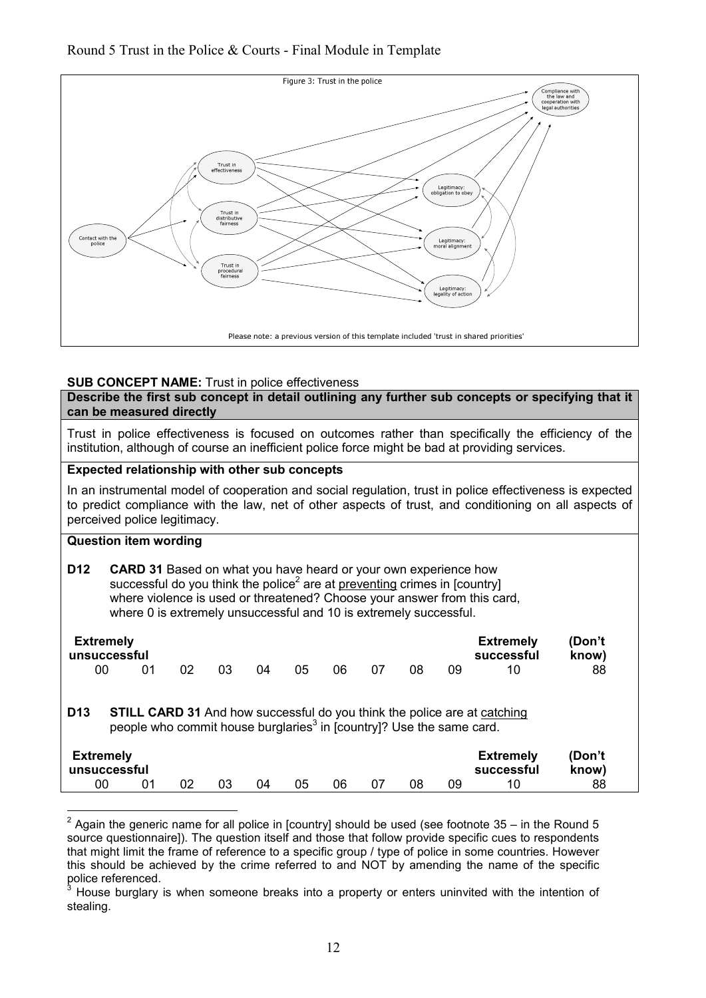### Round 5 Trust in the Police & Courts - Final Module in Template



#### **SUB CONCEPT NAME:** Trust in police effectiveness

**Describe the first sub concept in detail outlining any further sub concepts or specifying that it can be measured directly**

Trust in police effectiveness is focused on outcomes rather than specifically the efficiency of the institution, although of course an inefficient police force might be bad at providing services.

#### **Expected relationship with other sub concepts**

In an instrumental model of cooperation and social regulation, trust in police effectiveness is expected to predict compliance with the law, net of other aspects of trust, and conditioning on all aspects of perceived police legitimacy.

## **Question item wording**

| D12 | <b>CARD 31</b> Based on what you have heard or your own experience how                |
|-----|---------------------------------------------------------------------------------------|
|     | successful do you think the police <sup>2</sup> are at preventing crimes in [country] |
|     | where violence is used or threatened? Choose your answer from this card,              |
|     | where 0 is extremely unsuccessful and 10 is extremely successful.                     |

| <b>Extremely</b><br>unsuccessful |                                                                                  |    |    |    |    |    |    |    |    | <b>Extremely</b><br>successful                                                  | /Don't<br>know) |
|----------------------------------|----------------------------------------------------------------------------------|----|----|----|----|----|----|----|----|---------------------------------------------------------------------------------|-----------------|
| 00                               | 01                                                                               | 02 | 03 | 04 | 05 | 06 | 07 | 08 | 09 | 10                                                                              | 88              |
| D <sub>13</sub>                  |                                                                                  |    |    |    |    |    |    |    |    | <b>STILL CARD 31</b> And how successful do you think the police are at catching |                 |
|                                  | people who commit house burglaries <sup>3</sup> in [country]? Use the same card. |    |    |    |    |    |    |    |    |                                                                                 |                 |

 2 Again the generic name for all police in [country] should be used (see footnote 35 – in the Round 5 source questionnaire]). The question itself and those that follow provide specific cues to respondents that might limit the frame of reference to a specific group / type of police in some countries. However this should be achieved by the crime referred to and NOT by amending the name of the specific police referenced.

<sup>3</sup> House burglary is when someone breaks into a property or enters uninvited with the intention of stealing.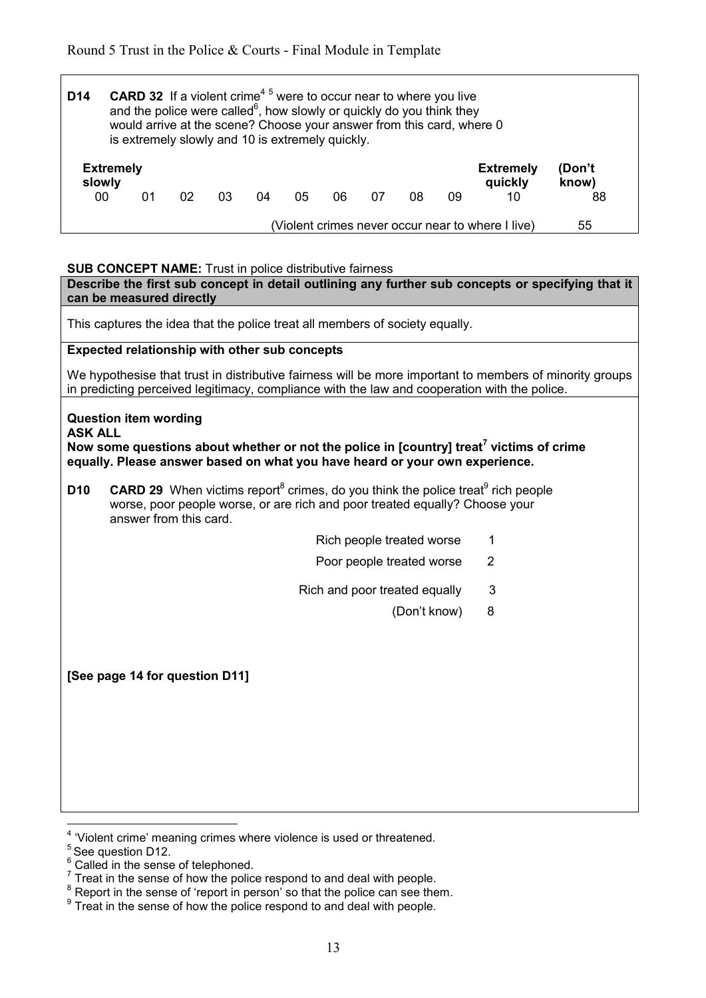|                            |    |    |    |    | is extremely slowly and 10 is extremely quickly. |     |    |    |    |                             |                 |
|----------------------------|----|----|----|----|--------------------------------------------------|-----|----|----|----|-----------------------------|-----------------|
| <b>Extremely</b><br>slowly |    |    |    |    |                                                  |     |    |    |    | <b>Extremely</b><br>quickly | (Don't<br>know) |
| 00 <sup>1</sup>            | 01 | 02 | 03 | 04 | 05                                               | 06. | 07 | 08 | 09 | 10                          | 88              |

#### **SUB CONCEPT NAME:** Trust in police distributive fairness

**Describe the first sub concept in detail outlining any further sub concepts or specifying that it can be measured directly** This captures the idea that the police treat all members of society equally. **Expected relationship with other sub concepts** We hypothesise that trust in distributive fairness will be more important to members of minority groups in predicting perceived legitimacy, compliance with the law and cooperation with the police. **Question item wording ASK ALL Now some questions about whether or not the police in [country] treat<sup>7</sup> victims of crime equally. Please answer based on what you have heard or your own experience. D10** CARD 29 When victims report<sup>8</sup> crimes, do you think the police treat<sup>9</sup> rich people worse, poor people worse, or are rich and poor treated equally? Choose your answer from this card. Rich people treated worse 1 Poor people treated worse 2 Rich and poor treated equally 3 (Don't know) 8 **[See page 14 for question D11]** 

 4 'Violent crime' meaning crimes where violence is used or threatened.

<sup>&</sup>lt;sup>5</sup> See question D12.

 $\frac{6}{1}$  Called in the sense of telephoned.

 $<sup>7</sup>$  Treat in the sense of how the police respond to and deal with people.</sup>

 $8$  Report in the sense of 'report in person' so that the police can see them.

 $9$  Treat in the sense of how the police respond to and deal with people.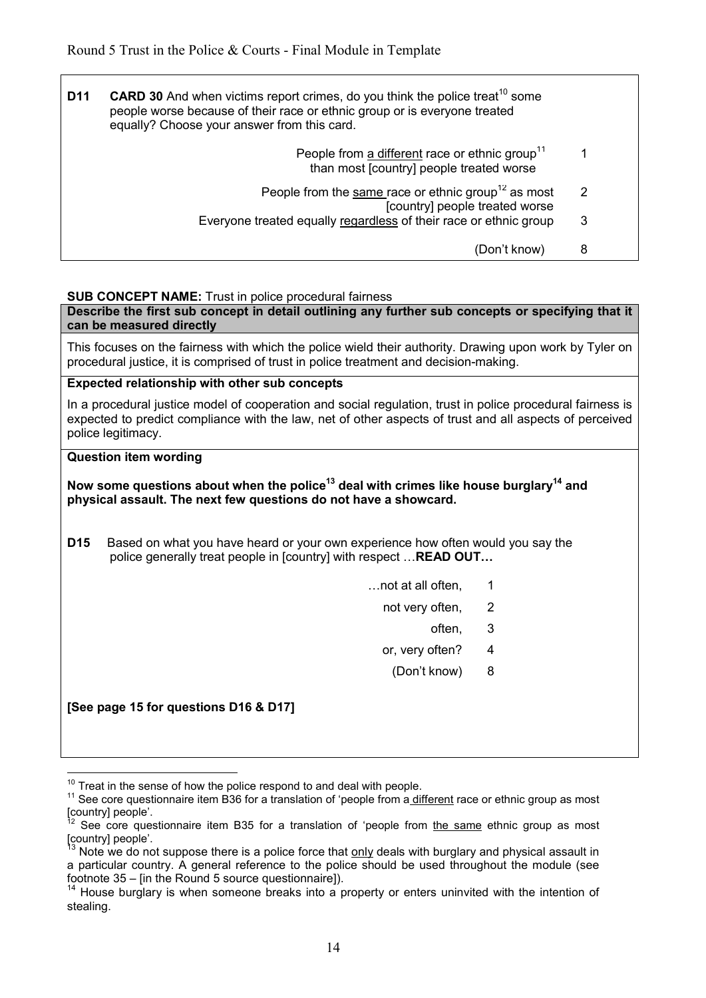| D11 | <b>CARD 30</b> And when victims report crimes, do you think the police treat <sup>10</sup> some<br>people worse because of their race or ethnic group or is everyone treated<br>equally? Choose your answer from this card. |   |
|-----|-----------------------------------------------------------------------------------------------------------------------------------------------------------------------------------------------------------------------------|---|
|     | People from a different race or ethnic group <sup>11</sup><br>than most [country] people treated worse                                                                                                                      |   |
|     | People from the same race or ethnic group <sup>12</sup> as most<br>[country] people treated worse                                                                                                                           | 2 |
|     | Everyone treated equally regardless of their race or ethnic group                                                                                                                                                           | 3 |
|     | (Don't know)                                                                                                                                                                                                                | 8 |

#### **SUB CONCEPT NAME:** Trust in police procedural fairness

**Describe the first sub concept in detail outlining any further sub concepts or specifying that it can be measured directly**

This focuses on the fairness with which the police wield their authority. Drawing upon work by Tyler on procedural justice, it is comprised of trust in police treatment and decision-making.

#### **Expected relationship with other sub concepts**

In a procedural justice model of cooperation and social regulation, trust in police procedural fairness is expected to predict compliance with the law, net of other aspects of trust and all aspects of perceived police legitimacy.

#### **Question item wording**

#### **Now some questions about when the police<sup>13</sup> deal with crimes like house burglary<sup>14</sup> and physical assault. The next few questions do not have a showcard.**

**D15** Based on what you have heard or your own experience how often would you say the police generally treat people in [country] with respect ... **READ OUT...** 

- $\dots$  not at all often,  $1$
- not very often, 2
- often, 3. All the contract of the contract of the contract of the contract of the contract of the contract of t
	- or, very often? 4
		- (Don't know) 8

**[See page 15 for questions D16 & D17]** 

<sup>&</sup>lt;u>.</u>  $10$  Treat in the sense of how the police respond to and deal with people.

 $11$  See core questionnaire item B36 for a translation of 'people from a different race or ethnic group as most [country] people'.

See core questionnaire item B35 for a translation of 'people from the same ethnic group as most [country] people'.

Note we do not suppose there is a police force that only deals with burglary and physical assault in a particular country. A general reference to the police should be used throughout the module (see footnote 35 – [in the Round 5 source questionnaire]).

<sup>&</sup>lt;sup>14</sup> House burglary is when someone breaks into a property or enters uninvited with the intention of stealing.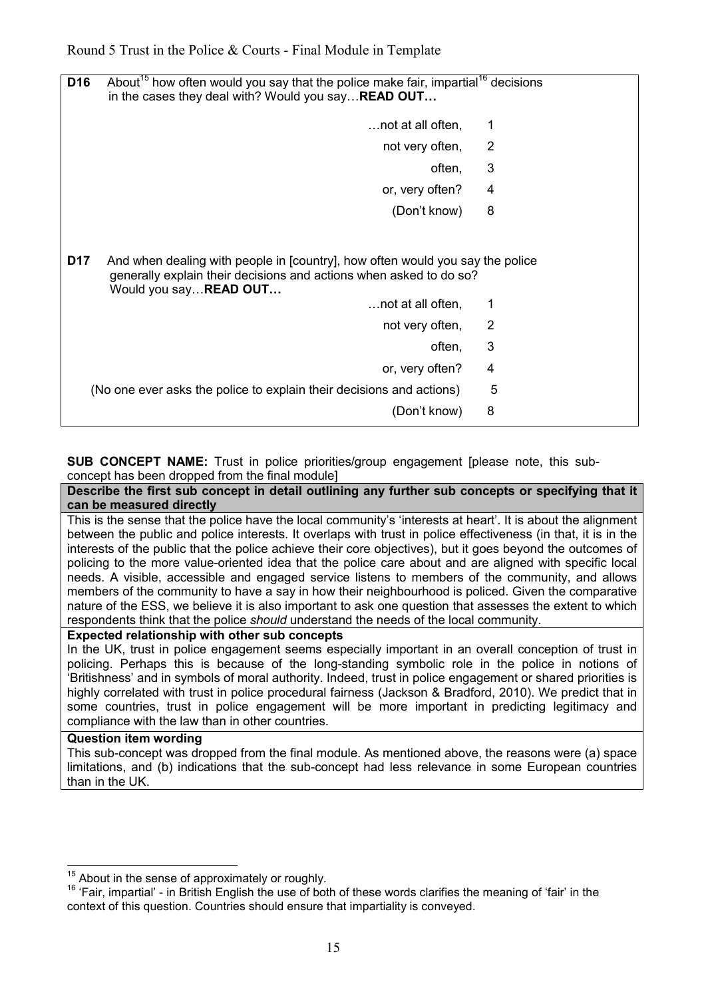| D <sub>16</sub> | About <sup>15</sup> how often would you say that the police make fair, impartial <sup>16</sup> decisions<br>in the cases they deal with? Would you say <b>READ OUT</b>        |                |  |  |  |  |  |  |  |
|-----------------|-------------------------------------------------------------------------------------------------------------------------------------------------------------------------------|----------------|--|--|--|--|--|--|--|
|                 | not at all often,                                                                                                                                                             | 1              |  |  |  |  |  |  |  |
|                 | not very often,                                                                                                                                                               | $\overline{2}$ |  |  |  |  |  |  |  |
|                 | often,                                                                                                                                                                        | 3              |  |  |  |  |  |  |  |
|                 | or, very often?                                                                                                                                                               | 4              |  |  |  |  |  |  |  |
|                 | (Don't know)                                                                                                                                                                  | 8              |  |  |  |  |  |  |  |
| D17             | And when dealing with people in [country], how often would you say the police<br>generally explain their decisions and actions when asked to do so?<br>Would you say READ OUT |                |  |  |  |  |  |  |  |
|                 | not at all often,                                                                                                                                                             | 1              |  |  |  |  |  |  |  |
|                 | not very often,                                                                                                                                                               | 2              |  |  |  |  |  |  |  |
|                 | often,                                                                                                                                                                        | 3              |  |  |  |  |  |  |  |
|                 | or, very often?                                                                                                                                                               | 4              |  |  |  |  |  |  |  |
|                 | (No one ever asks the police to explain their decisions and actions)                                                                                                          | 5              |  |  |  |  |  |  |  |
|                 | (Don't know)                                                                                                                                                                  | 8              |  |  |  |  |  |  |  |

**SUB CONCEPT NAME:** Trust in police priorities/group engagement [please note, this subconcept has been dropped from the final module]

#### **Describe the first sub concept in detail outlining any further sub concepts or specifying that it can be measured directly**

This is the sense that the police have the local community's 'interests at heart'. It is about the alignment between the public and police interests. It overlaps with trust in police effectiveness (in that, it is in the interests of the public that the police achieve their core objectives), but it goes beyond the outcomes of policing to the more value-oriented idea that the police care about and are aligned with specific local needs. A visible, accessible and engaged service listens to members of the community, and allows members of the community to have a say in how their neighbourhood is policed. Given the comparative nature of the ESS, we believe it is also important to ask one question that assesses the extent to which respondents think that the police *should* understand the needs of the local community.

#### **Expected relationship with other sub concepts**

In the UK, trust in police engagement seems especially important in an overall conception of trust in policing. Perhaps this is because of the long-standing symbolic role in the police in notions of 'Britishness' and in symbols of moral authority. Indeed, trust in police engagement or shared priorities is highly correlated with trust in police procedural fairness (Jackson & Bradford, 2010). We predict that in some countries, trust in police engagement will be more important in predicting legitimacy and compliance with the law than in other countries.

#### **Question item wording**

This sub-concept was dropped from the final module. As mentioned above, the reasons were (a) space limitations, and (b) indications that the sub-concept had less relevance in some European countries than in the UK.

 $\overline{a}$  $15<sup>15</sup>$  About in the sense of approximately or roughly.

<sup>&</sup>lt;sup>16</sup> 'Fair, impartial' - in British English the use of both of these words clarifies the meaning of 'fair' in the context of this question. Countries should ensure that impartiality is conveyed.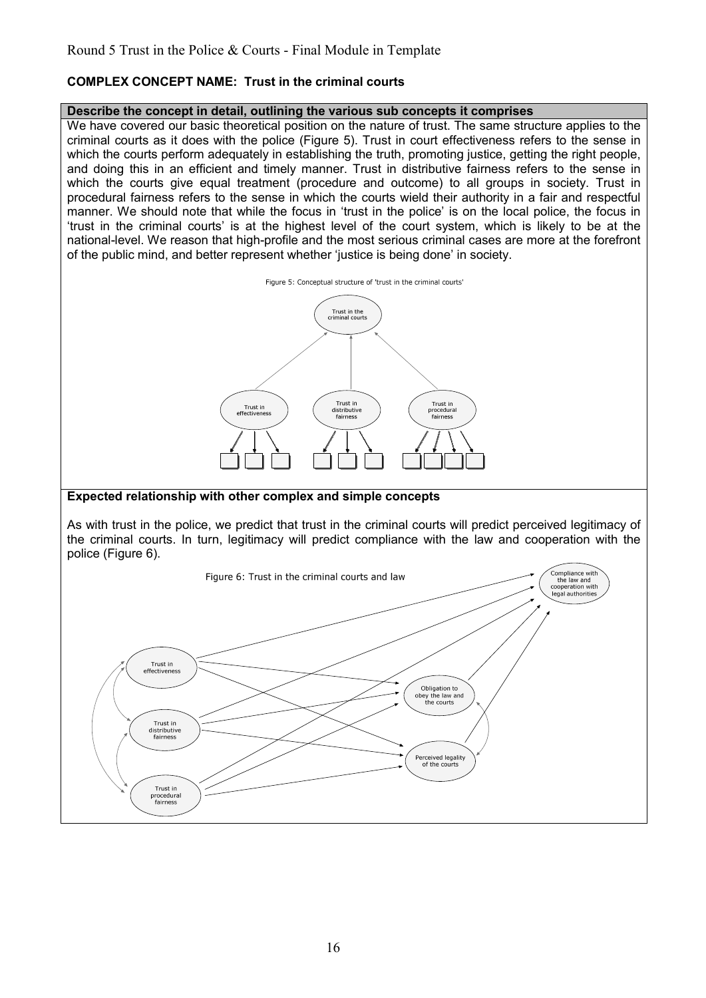## **COMPLEX CONCEPT NAME: Trust in the criminal courts**

#### **Describe the concept in detail, outlining the various sub concepts it comprises**

We have covered our basic theoretical position on the nature of trust. The same structure applies to the criminal courts as it does with the police (Figure 5). Trust in court effectiveness refers to the sense in which the courts perform adequately in establishing the truth, promoting justice, getting the right people, and doing this in an efficient and timely manner. Trust in distributive fairness refers to the sense in which the courts give equal treatment (procedure and outcome) to all groups in society. Trust in procedural fairness refers to the sense in which the courts wield their authority in a fair and respectful manner. We should note that while the focus in 'trust in the police' is on the local police, the focus in 'trust in the criminal courts' is at the highest level of the court system, which is likely to be at the national-level. We reason that high-profile and the most serious criminal cases are more at the forefront of the public mind, and better represent whether 'justice is being done' in society.



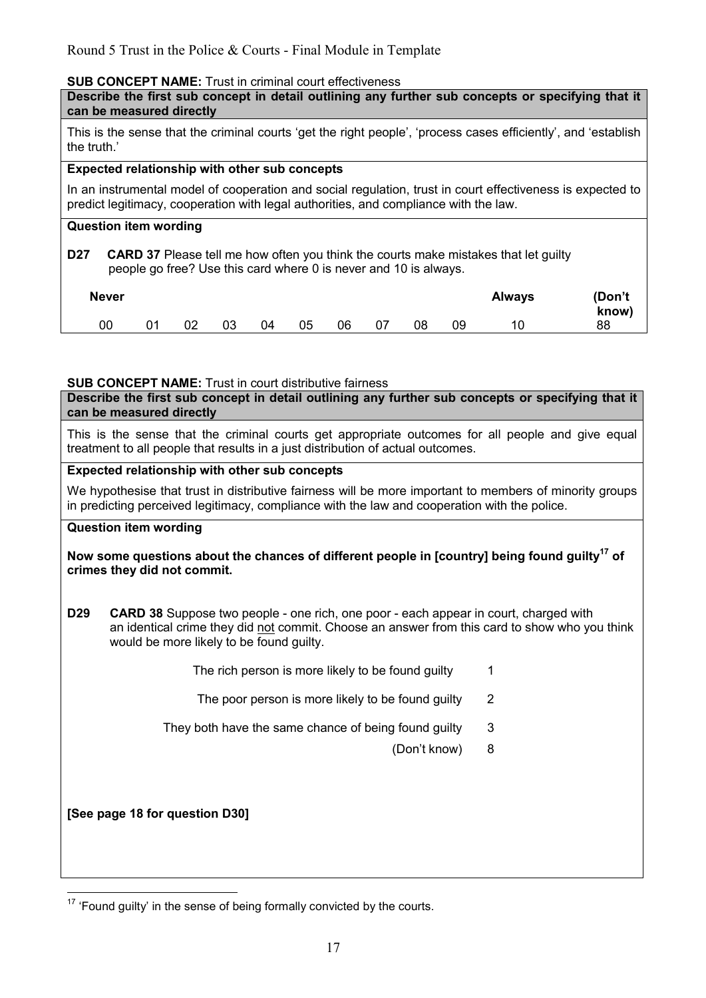#### **SUB CONCEPT NAME:** Trust in criminal court effectiveness

| Describe the first sub concept in detail outlining any further sub concepts or specifying that it<br>can be measured directly |
|-------------------------------------------------------------------------------------------------------------------------------|
| This is the sense that the criminal courts 'get the right people', 'process cases efficiently', and 'establish<br>the truth.' |

#### **Expected relationship with other sub concepts**

In an instrumental model of cooperation and social regulation, trust in court effectiveness is expected to predict legitimacy, cooperation with legal authorities, and compliance with the law.

#### **Question item wording**

**D27 CARD 37** Please tell me how often you think the courts make mistakes that let guilty people go free? Use this card where 0 is never and 10 is always.

| <b>Never</b> |           |    |    |    |    |    |    |    |    | <b>Always</b> | (Don't<br>know) |
|--------------|-----------|----|----|----|----|----|----|----|----|---------------|-----------------|
| 00           | <b>01</b> | 02 | 03 | 04 | 05 | 06 | 07 | 08 | 09 | 10            | 88              |

#### **SUB CONCEPT NAME:** Trust in court distributive fairness

**Describe the first sub concept in detail outlining any further sub concepts or specifying that it can be measured directly**

This is the sense that the criminal courts get appropriate outcomes for all people and give equal treatment to all people that results in a just distribution of actual outcomes.

#### **Expected relationship with other sub concepts**

We hypothesise that trust in distributive fairness will be more important to members of minority groups in predicting perceived legitimacy, compliance with the law and cooperation with the police.

#### **Question item wording**

#### **Now some questions about the chances of different people in [country] being found guilty<sup>17</sup> of crimes they did not commit.**

**D29 CARD 38** Suppose two people - one rich, one poor - each appear in court, charged with an identical crime they did not commit. Choose an answer from this card to show who you think would be more likely to be found guilty.

The rich person is more likely to be found quilty 1

- The poor person is more likely to be found quilty 2
- They both have the same chance of being found guilty 3
	- (Don't know) 8

**[See page 18 for question D30]** 

 $\overline{a}$  $17$  'Found guilty' in the sense of being formally convicted by the courts.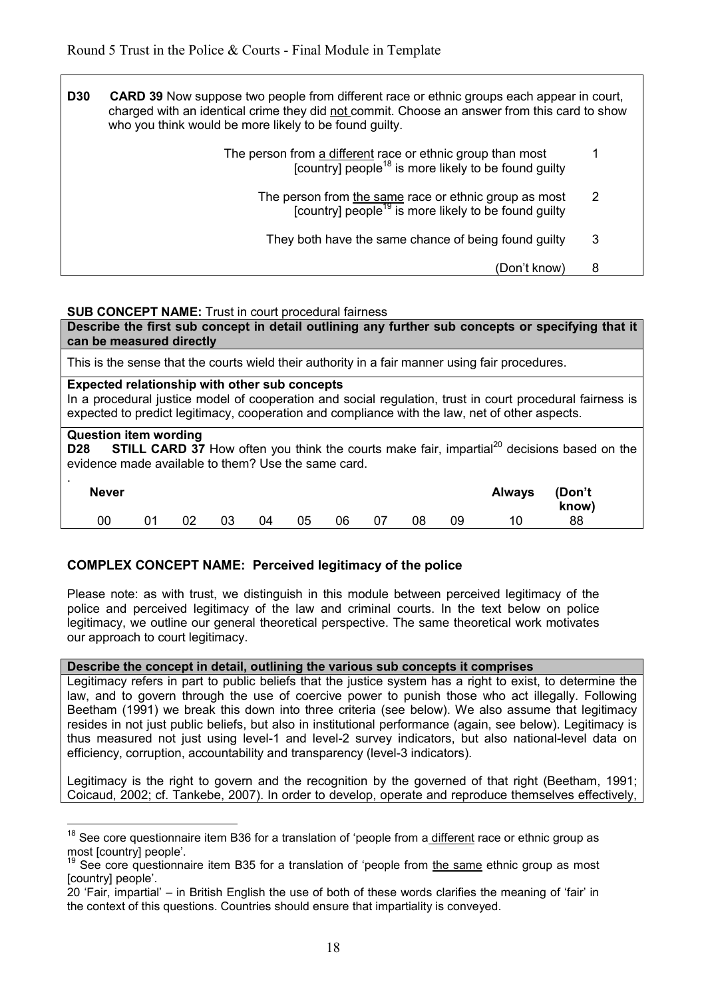| <b>D30</b> | <b>CARD 39</b> Now suppose two people from different race or ethnic groups each appear in court,<br>charged with an identical crime they did not commit. Choose an answer from this card to show<br>who you think would be more likely to be found guilty. |   |  |  |  |  |  |  |
|------------|------------------------------------------------------------------------------------------------------------------------------------------------------------------------------------------------------------------------------------------------------------|---|--|--|--|--|--|--|
|            | The person from a different race or ethnic group than most<br>$[countv]$ people <sup>18</sup> is more likely to be found guilty                                                                                                                            |   |  |  |  |  |  |  |
|            | The person from the same race or ethnic group as most<br>[country] people <sup>19</sup> is more likely to be found guilty                                                                                                                                  | 2 |  |  |  |  |  |  |
|            | They both have the same chance of being found guilty                                                                                                                                                                                                       | 3 |  |  |  |  |  |  |
|            | (Don't know)                                                                                                                                                                                                                                               | 8 |  |  |  |  |  |  |

#### **SUB CONCEPT NAME:** Trust in court procedural fairness

**Describe the first sub concept in detail outlining any further sub concepts or specifying that it can be measured directly**

This is the sense that the courts wield their authority in a fair manner using fair procedures.

#### **Expected relationship with other sub concepts**

<u>.</u>

In a procedural justice model of cooperation and social regulation, trust in court procedural fairness is expected to predict legitimacy, cooperation and compliance with the law, net of other aspects.

#### **Question item wording D28** STILL CARD 37 How often you think the courts make fair, impartial<sup>20</sup> decisions based on the evidence made available to them? Use the same card.

| . .<br><b>Never</b> |    |    |    |    |    |    |    |    |    | Always | (Don't<br>know) |  |
|---------------------|----|----|----|----|----|----|----|----|----|--------|-----------------|--|
| 00                  | 01 | 02 | 03 | 04 | 05 | 06 | 07 | 08 | 09 | 10     | 88              |  |

#### **COMPLEX CONCEPT NAME: Perceived legitimacy of the police**

Please note: as with trust, we distinguish in this module between perceived legitimacy of the police and perceived legitimacy of the law and criminal courts. In the text below on police legitimacy, we outline our general theoretical perspective. The same theoretical work motivates our approach to court legitimacy.

#### **Describe the concept in detail, outlining the various sub concepts it comprises**

Legitimacy refers in part to public beliefs that the justice system has a right to exist, to determine the law, and to govern through the use of coercive power to punish those who act illegally. Following Beetham (1991) we break this down into three criteria (see below). We also assume that legitimacy resides in not just public beliefs, but also in institutional performance (again, see below). Legitimacy is thus measured not just using level-1 and level-2 survey indicators, but also national-level data on efficiency, corruption, accountability and transparency (level-3 indicators).

Legitimacy is the right to govern and the recognition by the governed of that right (Beetham, 1991; Coicaud, 2002; cf. Tankebe, 2007). In order to develop, operate and reproduce themselves effectively,

<sup>&</sup>lt;sup>18</sup> See core questionnaire item B36 for a translation of 'people from a different race or ethnic group as most [country] people'.

<sup>19</sup> See core questionnaire item B35 for a translation of 'people from the same ethnic group as most [country] people'.

<sup>20 &#</sup>x27;Fair, impartial' – in British English the use of both of these words clarifies the meaning of 'fair' in the context of this questions. Countries should ensure that impartiality is conveyed.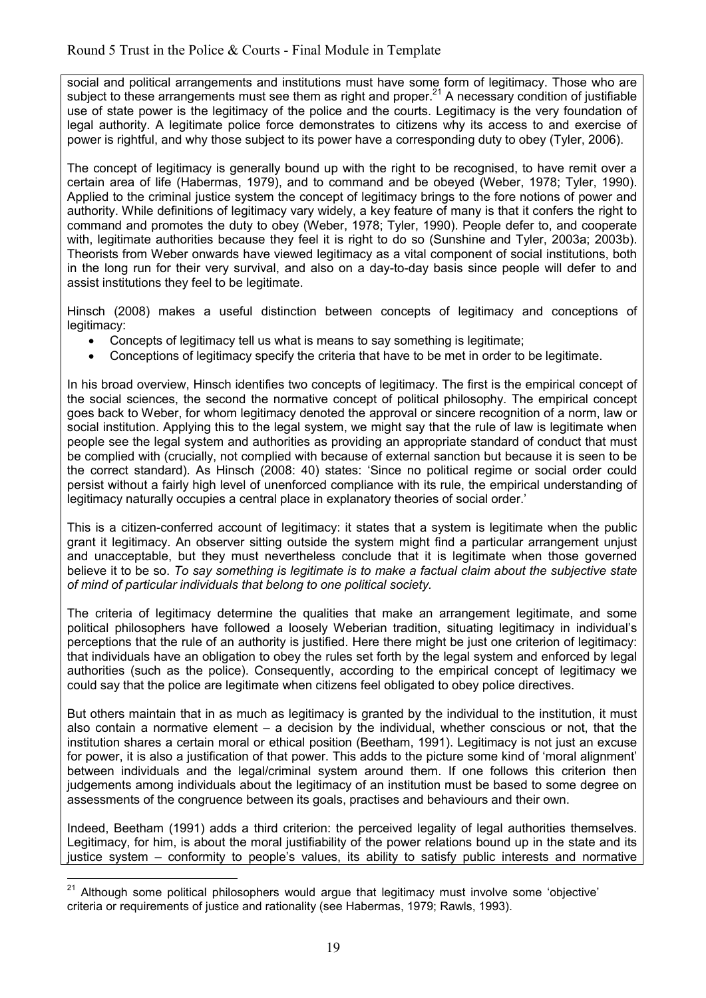social and political arrangements and institutions must have some form of legitimacy. Those who are subject to these arrangements must see them as right and proper.<sup>21</sup> A necessary condition of justifiable use of state power is the legitimacy of the police and the courts. Legitimacy is the very foundation of legal authority. A legitimate police force demonstrates to citizens why its access to and exercise of power is rightful, and why those subject to its power have a corresponding duty to obey (Tyler, 2006).

The concept of legitimacy is generally bound up with the right to be recognised, to have remit over a certain area of life (Habermas, 1979), and to command and be obeyed (Weber, 1978; Tyler, 1990). Applied to the criminal justice system the concept of legitimacy brings to the fore notions of power and authority. While definitions of legitimacy vary widely, a key feature of many is that it confers the right to command and promotes the duty to obey (Weber, 1978; Tyler, 1990). People defer to, and cooperate with, legitimate authorities because they feel it is right to do so (Sunshine and Tyler, 2003a; 2003b). Theorists from Weber onwards have viewed legitimacy as a vital component of social institutions, both in the long run for their very survival, and also on a day-to-day basis since people will defer to and assist institutions they feel to be legitimate.

Hinsch (2008) makes a useful distinction between concepts of legitimacy and conceptions of legitimacy:

- Concepts of legitimacy tell us what is means to say something is legitimate;
- Conceptions of legitimacy specify the criteria that have to be met in order to be legitimate.

In his broad overview, Hinsch identifies two concepts of legitimacy. The first is the empirical concept of the social sciences, the second the normative concept of political philosophy. The empirical concept goes back to Weber, for whom legitimacy denoted the approval or sincere recognition of a norm, law or social institution. Applying this to the legal system, we might say that the rule of law is legitimate when people see the legal system and authorities as providing an appropriate standard of conduct that must be complied with (crucially, not complied with because of external sanction but because it is seen to be the correct standard). As Hinsch (2008: 40) states: 'Since no political regime or social order could persist without a fairly high level of unenforced compliance with its rule, the empirical understanding of legitimacy naturally occupies a central place in explanatory theories of social order.'

This is a citizen-conferred account of legitimacy: it states that a system is legitimate when the public grant it legitimacy. An observer sitting outside the system might find a particular arrangement unjust and unacceptable, but they must nevertheless conclude that it is legitimate when those governed believe it to be so. *To say something is legitimate is to make a factual claim about the subjective state of mind of particular individuals that belong to one political society.* 

The criteria of legitimacy determine the qualities that make an arrangement legitimate, and some political philosophers have followed a loosely Weberian tradition, situating legitimacy in individual's perceptions that the rule of an authority is justified. Here there might be just one criterion of legitimacy: that individuals have an obligation to obey the rules set forth by the legal system and enforced by legal authorities (such as the police). Consequently, according to the empirical concept of legitimacy we could say that the police are legitimate when citizens feel obligated to obey police directives.

But others maintain that in as much as legitimacy is granted by the individual to the institution, it must also contain a normative element – a decision by the individual, whether conscious or not, that the institution shares a certain moral or ethical position (Beetham, 1991). Legitimacy is not just an excuse for power, it is also a justification of that power. This adds to the picture some kind of 'moral alignment' between individuals and the legal/criminal system around them. If one follows this criterion then judgements among individuals about the legitimacy of an institution must be based to some degree on assessments of the congruence between its goals, practises and behaviours and their own.

Indeed, Beetham (1991) adds a third criterion: the perceived legality of legal authorities themselves. Legitimacy, for him, is about the moral justifiability of the power relations bound up in the state and its justice system – conformity to people's values, its ability to satisfy public interests and normative

 $\overline{a}$ <sup>21</sup> Although some political philosophers would argue that legitimacy must involve some 'objective' criteria or requirements of justice and rationality (see Habermas, 1979; Rawls, 1993).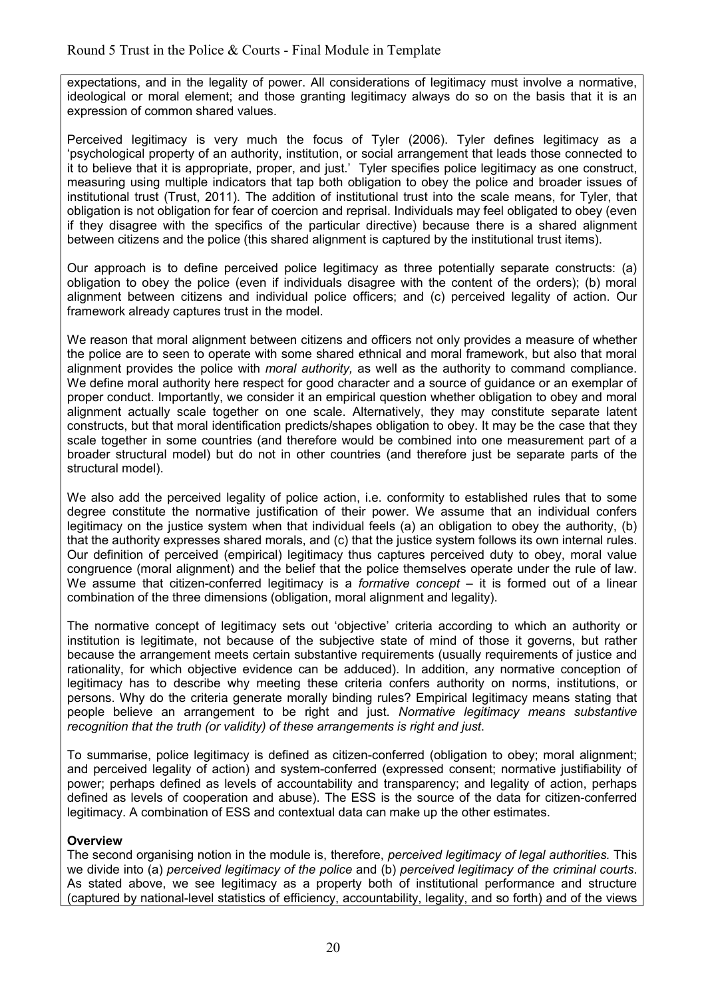expectations, and in the legality of power. All considerations of legitimacy must involve a normative, ideological or moral element; and those granting legitimacy always do so on the basis that it is an expression of common shared values.

Perceived legitimacy is very much the focus of Tyler (2006). Tyler defines legitimacy as a 'psychological property of an authority, institution, or social arrangement that leads those connected to it to believe that it is appropriate, proper, and just.' Tyler specifies police legitimacy as one construct, measuring using multiple indicators that tap both obligation to obey the police and broader issues of institutional trust (Trust, 2011). The addition of institutional trust into the scale means, for Tyler, that obligation is not obligation for fear of coercion and reprisal. Individuals may feel obligated to obey (even if they disagree with the specifics of the particular directive) because there is a shared alignment between citizens and the police (this shared alignment is captured by the institutional trust items).

Our approach is to define perceived police legitimacy as three potentially separate constructs: (a) obligation to obey the police (even if individuals disagree with the content of the orders); (b) moral alignment between citizens and individual police officers; and (c) perceived legality of action. Our framework already captures trust in the model.

We reason that moral alignment between citizens and officers not only provides a measure of whether the police are to seen to operate with some shared ethnical and moral framework, but also that moral alignment provides the police with *moral authority,* as well as the authority to command compliance. We define moral authority here respect for good character and a source of guidance or an exemplar of proper conduct. Importantly, we consider it an empirical question whether obligation to obey and moral alignment actually scale together on one scale. Alternatively, they may constitute separate latent constructs, but that moral identification predicts/shapes obligation to obey. It may be the case that they scale together in some countries (and therefore would be combined into one measurement part of a broader structural model) but do not in other countries (and therefore just be separate parts of the structural model).

We also add the perceived legality of police action, i.e. conformity to established rules that to some degree constitute the normative justification of their power. We assume that an individual confers legitimacy on the justice system when that individual feels (a) an obligation to obey the authority, (b) that the authority expresses shared morals, and (c) that the justice system follows its own internal rules. Our definition of perceived (empirical) legitimacy thus captures perceived duty to obey, moral value congruence (moral alignment) and the belief that the police themselves operate under the rule of law. We assume that citizen-conferred legitimacy is a *formative concept* – it is formed out of a linear combination of the three dimensions (obligation, moral alignment and legality).

The normative concept of legitimacy sets out 'objective' criteria according to which an authority or institution is legitimate, not because of the subjective state of mind of those it governs, but rather because the arrangement meets certain substantive requirements (usually requirements of justice and rationality, for which objective evidence can be adduced). In addition, any normative conception of legitimacy has to describe why meeting these criteria confers authority on norms, institutions, or persons. Why do the criteria generate morally binding rules? Empirical legitimacy means stating that people believe an arrangement to be right and just. *Normative legitimacy means substantive recognition that the truth (or validity) of these arrangements is right and just*.

To summarise, police legitimacy is defined as citizen-conferred (obligation to obey; moral alignment; and perceived legality of action) and system-conferred (expressed consent; normative justifiability of power; perhaps defined as levels of accountability and transparency; and legality of action, perhaps defined as levels of cooperation and abuse). The ESS is the source of the data for citizen-conferred legitimacy. A combination of ESS and contextual data can make up the other estimates.

## **Overview**

The second organising notion in the module is, therefore, *perceived legitimacy of legal authorities.* This we divide into (a) *perceived legitimacy of the police* and (b) *perceived legitimacy of the criminal courts*. As stated above, we see legitimacy as a property both of institutional performance and structure (captured by national-level statistics of efficiency, accountability, legality, and so forth) and of the views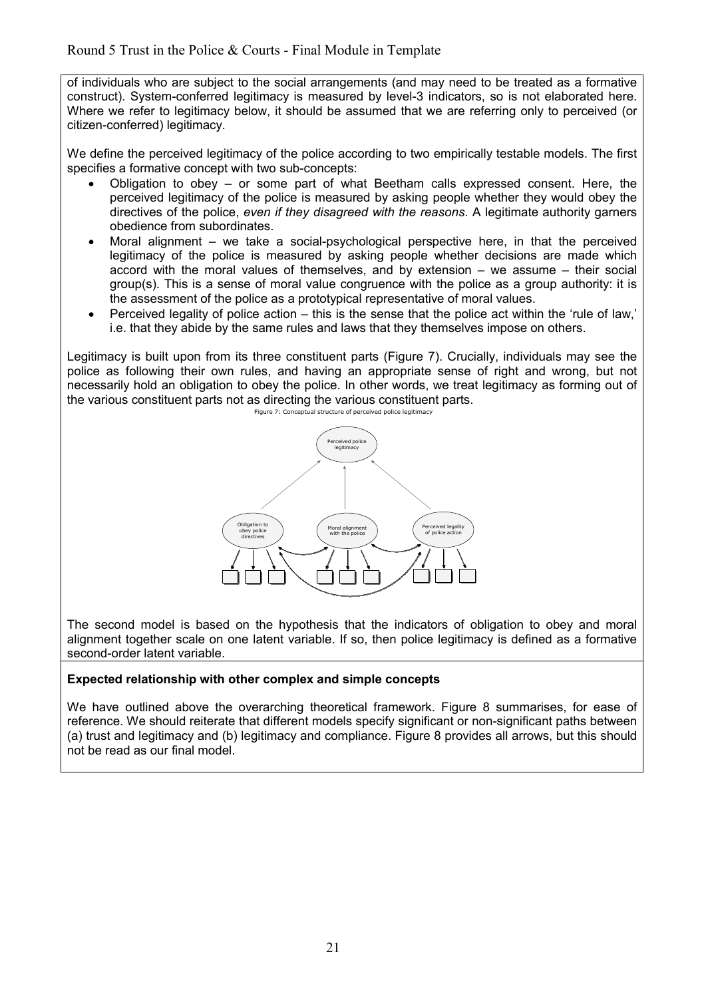of individuals who are subject to the social arrangements (and may need to be treated as a formative construct). System-conferred legitimacy is measured by level-3 indicators, so is not elaborated here. Where we refer to legitimacy below, it should be assumed that we are referring only to perceived (or citizen-conferred) legitimacy.

We define the perceived legitimacy of the police according to two empirically testable models. The first specifies a formative concept with two sub-concepts:

- Obligation to obey or some part of what Beetham calls expressed consent. Here, the perceived legitimacy of the police is measured by asking people whether they would obey the directives of the police, *even if they disagreed with the reasons*. A legitimate authority garners obedience from subordinates.
- Moral alignment we take a social-psychological perspective here, in that the perceived legitimacy of the police is measured by asking people whether decisions are made which accord with the moral values of themselves, and by extension – we assume – their social group(s). This is a sense of moral value congruence with the police as a group authority: it is the assessment of the police as a prototypical representative of moral values.
- Perceived legality of police action this is the sense that the police act within the 'rule of law,' i.e. that they abide by the same rules and laws that they themselves impose on others.

Legitimacy is built upon from its three constituent parts (Figure 7). Crucially, individuals may see the police as following their own rules, and having an appropriate sense of right and wrong, but not necessarily hold an obligation to obey the police. In other words, we treat legitimacy as forming out of the various constituent parts not as directing the various constituent parts.



The second model is based on the hypothesis that the indicators of obligation to obey and moral alignment together scale on one latent variable. If so, then police legitimacy is defined as a formative second-order latent variable.

#### **Expected relationship with other complex and simple concepts**

We have outlined above the overarching theoretical framework. Figure 8 summarises, for ease of reference. We should reiterate that different models specify significant or non-significant paths between (a) trust and legitimacy and (b) legitimacy and compliance. Figure 8 provides all arrows, but this should not be read as our final model.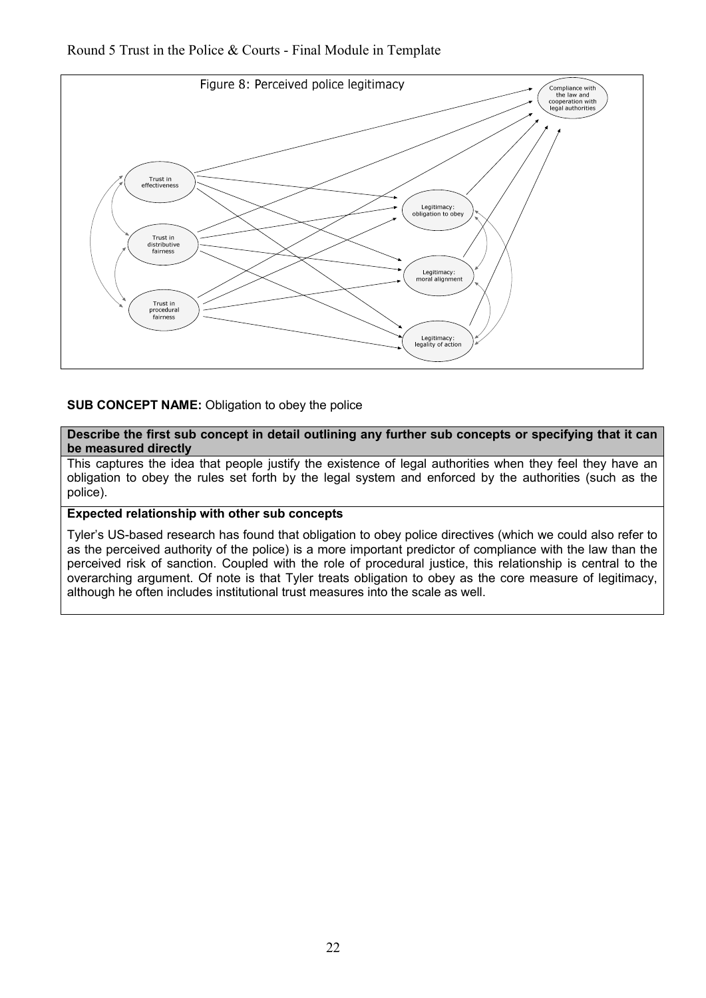Round 5 Trust in the Police & Courts - Final Module in Template



#### **SUB CONCEPT NAME:** Obligation to obey the police

**Describe the first sub concept in detail outlining any further sub concepts or specifying that it can be measured directly**

This captures the idea that people justify the existence of legal authorities when they feel they have an obligation to obey the rules set forth by the legal system and enforced by the authorities (such as the police).

### **Expected relationship with other sub concepts**

Tyler's US-based research has found that obligation to obey police directives (which we could also refer to as the perceived authority of the police) is a more important predictor of compliance with the law than the perceived risk of sanction. Coupled with the role of procedural justice, this relationship is central to the overarching argument. Of note is that Tyler treats obligation to obey as the core measure of legitimacy, although he often includes institutional trust measures into the scale as well.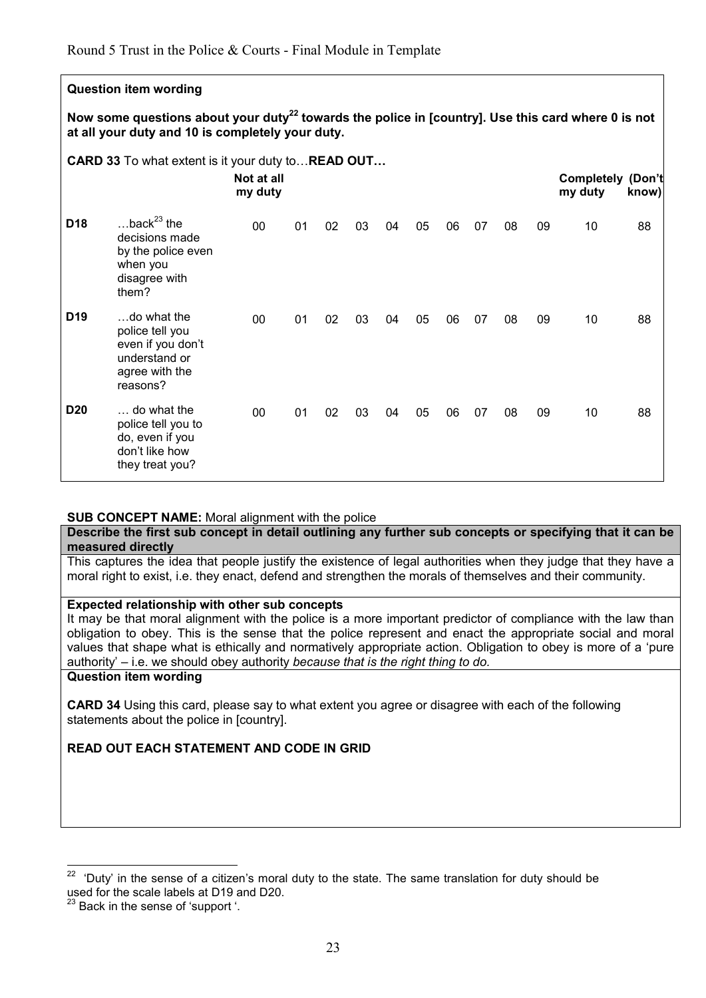## **Question item wording**

**Now some questions about your duty<sup>22</sup> towards the police in [country]. Use this card where 0 is not at all your duty and 10 is completely your duty.** 

**CARD 33** To what extent is it your duty to... **READ OUT...** 

|                 |                                                                                                    | Not at all<br>my duty |    |    |    |    |    |    |    |    |    | <b>Completely</b><br>my duty | (Don't<br>know) |
|-----------------|----------------------------------------------------------------------------------------------------|-----------------------|----|----|----|----|----|----|----|----|----|------------------------------|-----------------|
| D <sub>18</sub> | back $^{23}$ the<br>decisions made<br>by the police even<br>when you<br>disagree with<br>them?     | 00                    | 01 | 02 | 03 | 04 | 05 | 06 | 07 | 08 | 09 | 10                           | 88              |
| D <sub>19</sub> | do what the<br>police tell you<br>even if you don't<br>understand or<br>agree with the<br>reasons? | 00                    | 01 | 02 | 03 | 04 | 05 | 06 | 07 | 08 | 09 | 10                           | 88              |
| <b>D20</b>      | do what the<br>police tell you to<br>do, even if you<br>don't like how<br>they treat you?          | 00                    | 01 | 02 | 03 | 04 | 05 | 06 | 07 | 08 | 09 | 10                           | 88              |

#### **SUB CONCEPT NAME:** Moral alignment with the police

**Describe the first sub concept in detail outlining any further sub concepts or specifying that it can be measured directly**

This captures the idea that people justify the existence of legal authorities when they judge that they have a moral right to exist, i.e. they enact, defend and strengthen the morals of themselves and their community.

#### **Expected relationship with other sub concepts**

It may be that moral alignment with the police is a more important predictor of compliance with the law than obligation to obey. This is the sense that the police represent and enact the appropriate social and moral values that shape what is ethically and normatively appropriate action. Obligation to obey is more of a 'pure authority' – i.e. we should obey authority *because that is the right thing to do.*

#### **Question item wording**

**CARD 34** Using this card, please say to what extent you agree or disagree with each of the following statements about the police in [country].

#### **READ OUT EACH STATEMENT AND CODE IN GRID**

 $\overline{a}$ 

 $22$  'Duty' in the sense of a citizen's moral duty to the state. The same translation for duty should be used for the scale labels at D19 and D20.

 $3$  Back in the sense of 'support '.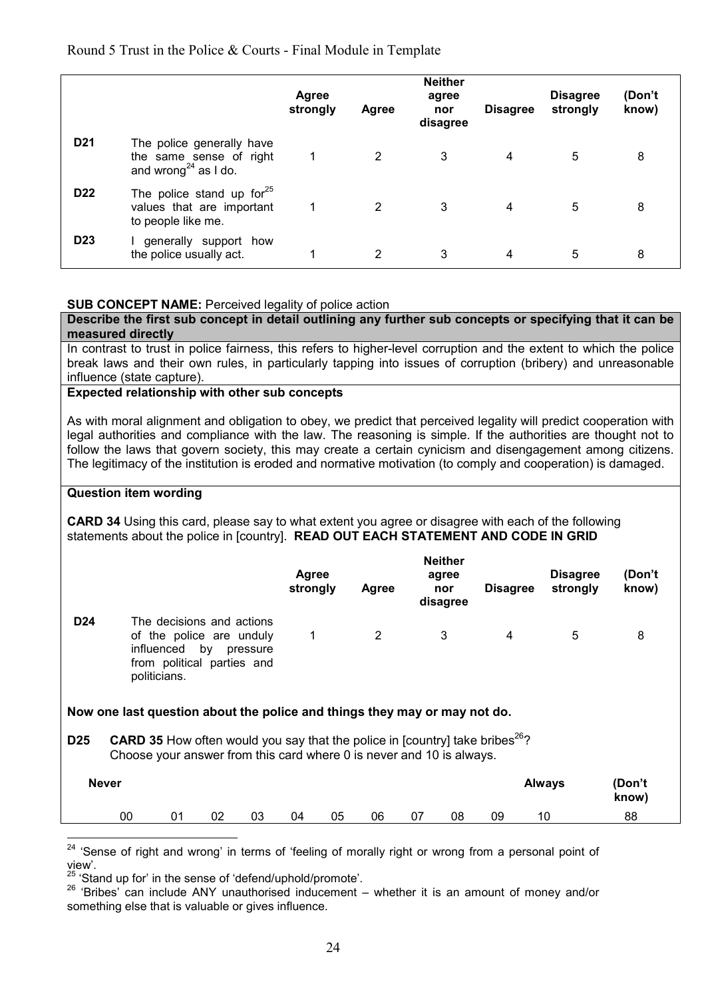#### Round 5 Trust in the Police & Courts - Final Module in Template

|                 |                                                                                          | <b>Agree</b><br>strongly | <b>Agree</b> | <b>Neither</b><br>agree<br>nor<br>disagree | <b>Disagree</b> | <b>Disagree</b><br>strongly | (Don't<br>know) |  |
|-----------------|------------------------------------------------------------------------------------------|--------------------------|--------------|--------------------------------------------|-----------------|-----------------------------|-----------------|--|
| D <sub>21</sub> | The police generally have<br>the same sense of right<br>and wrong <sup>24</sup> as I do. |                          |              | 3                                          | 4               | 5                           | 8               |  |
| D <sub>22</sub> | The police stand up for <sup>25</sup><br>values that are important<br>to people like me. |                          | 2            | 3                                          | 4               | 5                           | 8               |  |
| D <sub>23</sub> | generally support how<br>the police usually act.                                         |                          | 2            | 3                                          | 4               | 5                           | 8               |  |

#### **SUB CONCEPT NAME:** Perceived legality of police action

**Describe the first sub concept in detail outlining any further sub concepts or specifying that it can be measured directly** In contrast to trust in police fairness, this refers to higher-level corruption and the extent to which the police break laws and their own rules, in particularly tapping into issues of corruption (bribery) and unreasonable

#### influence (state capture). **Expected relationship with other sub concepts**

As with moral alignment and obligation to obey, we predict that perceived legality will predict cooperation with legal authorities and compliance with the law. The reasoning is simple. If the authorities are thought not to follow the laws that govern society, this may create a certain cynicism and disengagement among citizens. The legitimacy of the institution is eroded and normative motivation (to comply and cooperation) is damaged.

#### **Question item wording**

**CARD 34** Using this card, please say to what extent you agree or disagree with each of the following statements about the police in [country]. **READ OUT EACH STATEMENT AND CODE IN GRID**

|                 |                                                                                                                                                                         | Agree<br>strongly | Agree | <b>Neither</b><br>agree<br>nor<br>disagree | <b>Disagree</b> | <b>Disagree</b><br>strongly | (Don't<br>know) |  |
|-----------------|-------------------------------------------------------------------------------------------------------------------------------------------------------------------------|-------------------|-------|--------------------------------------------|-----------------|-----------------------------|-----------------|--|
| D <sub>24</sub> | The decisions and actions<br>of the police are unduly<br>influenced by pressure<br>from political parties and<br>politicians.                                           | 1                 | 2     | 3                                          | 4               | 5                           | 8               |  |
|                 | Now one last question about the police and things they may or may not do.                                                                                               |                   |       |                                            |                 |                             |                 |  |
| D <sub>25</sub> | <b>CARD 35</b> How often would you say that the police in [country] take bribes <sup>26</sup> ?<br>Choose your answer from this card where 0 is never and 10 is always. |                   |       |                                            |                 |                             |                 |  |
|                 | <b>Never</b>                                                                                                                                                            |                   |       |                                            |                 | <b>Always</b>               | (Don't<br>know) |  |

00 01 02 03 04 05 06 07 08 09 10 88

 ${\bf 24}$ 'Sense of right and wrong' in terms of 'feeling of morally right or wrong from a personal point of view'.

<sup>&</sup>lt;sup>25</sup> 'Stand up for' in the sense of 'defend/uphold/promote'.

<sup>26</sup> 'Bribes' can include ANY unauthorised inducement – whether it is an amount of money and/or something else that is valuable or gives influence.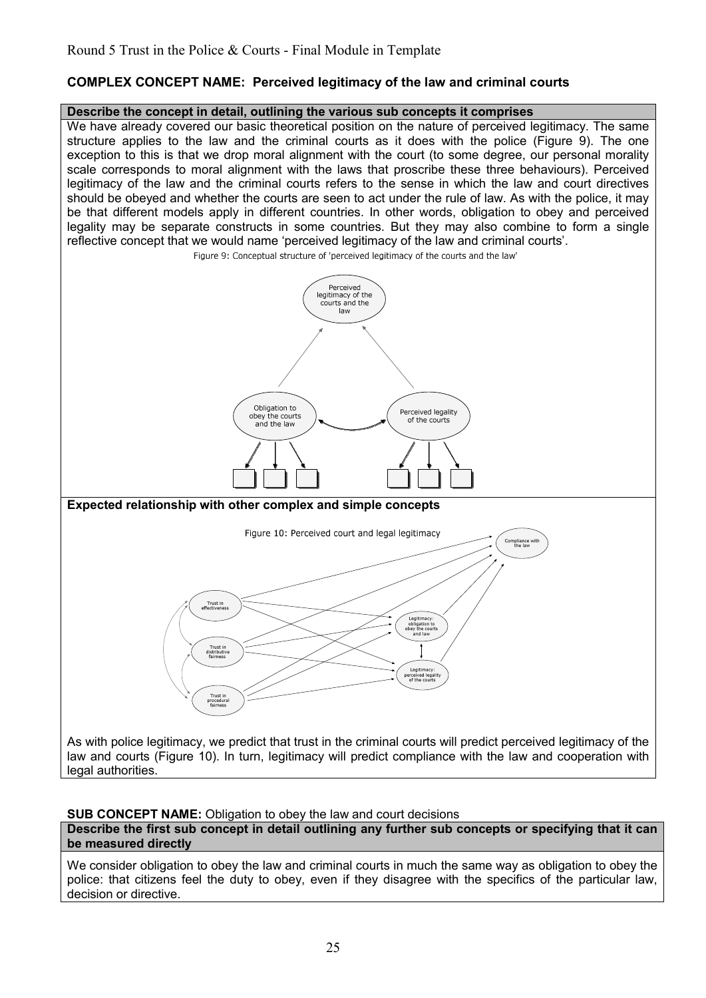## **COMPLEX CONCEPT NAME: Perceived legitimacy of the law and criminal courts**

#### **Describe the concept in detail, outlining the various sub concepts it comprises**

We have already covered our basic theoretical position on the nature of perceived legitimacy. The same structure applies to the law and the criminal courts as it does with the police (Figure 9). The one exception to this is that we drop moral alignment with the court (to some degree, our personal morality scale corresponds to moral alignment with the laws that proscribe these three behaviours). Perceived legitimacy of the law and the criminal courts refers to the sense in which the law and court directives should be obeyed and whether the courts are seen to act under the rule of law. As with the police, it may be that different models apply in different countries. In other words, obligation to obey and perceived legality may be separate constructs in some countries. But they may also combine to form a single reflective concept that we would name 'perceived legitimacy of the law and criminal courts'.<br>Figure 9: Conceptual structure of 'perceived legitimacy of the courts and the law' Perceived Perceived<br>legitimacy of the<br>courts and the law Obligation to Perceived legality<br>of the courts obey the courts and the law **Expected relationship with other complex and simple concepts** Figure 10: Perceived court and legal legitimacy Compliance with<br>the law Trust in Legitimacy:<br>obligation to<br>obey the courts<br>and law Trust in<br>distributiv<br>fairness Legitimacy:<br>rceived legal Trust in<br>procedural<br>fairness As with police legitimacy, we predict that trust in the criminal courts will predict perceived legitimacy of the law and courts (Figure 10). In turn, legitimacy will predict compliance with the law and cooperation with

**SUB CONCEPT NAME:** Obligation to obey the law and court decisions

legal authorities.

**Describe the first sub concept in detail outlining any further sub concepts or specifying that it can be measured directly**

We consider obligation to obey the law and criminal courts in much the same way as obligation to obey the police: that citizens feel the duty to obey, even if they disagree with the specifics of the particular law, decision or directive.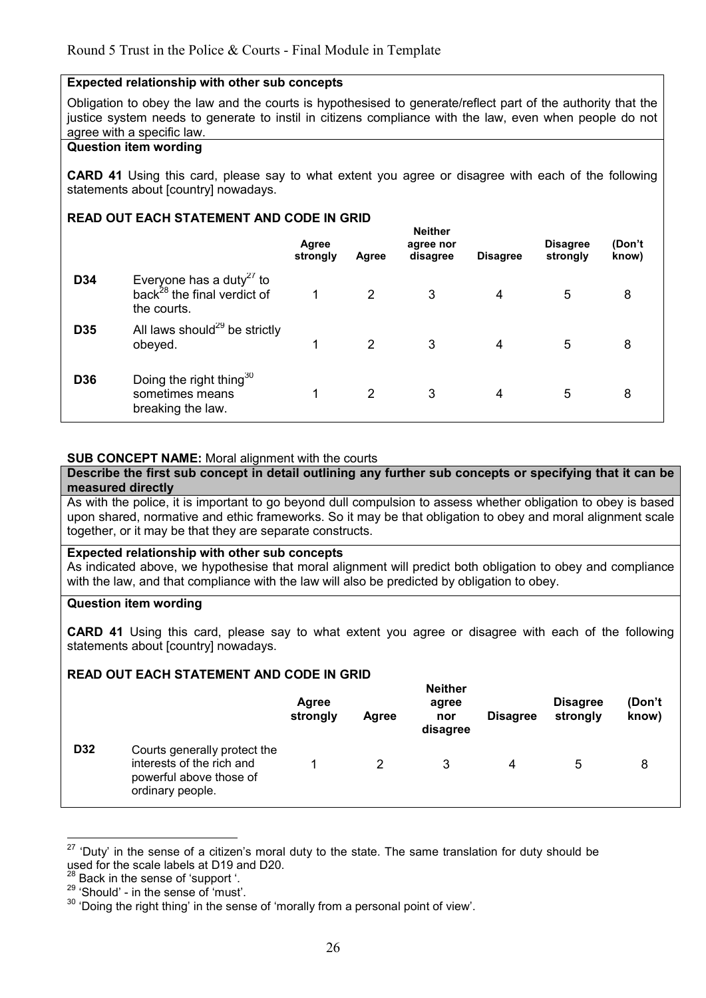#### **Expected relationship with other sub concepts**

Obligation to obey the law and the courts is hypothesised to generate/reflect part of the authority that the justice system needs to generate to instil in citizens compliance with the law, even when people do not agree with a specific law.

#### **Question item wording**

**CARD 41** Using this card, please say to what extent you agree or disagree with each of the following statements about [country] nowadays.

#### **READ OUT EACH STATEMENT AND CODE IN GRID**

|            |                                                                                                | Agree<br>strongly | Agree          | <b>Neither</b><br>agree nor<br>disagree | <b>Disagree</b> | <b>Disagree</b><br>strongly | (Don't<br>know) |  |
|------------|------------------------------------------------------------------------------------------------|-------------------|----------------|-----------------------------------------|-----------------|-----------------------------|-----------------|--|
| D34        | Everyone has a duty <sup>27</sup> to<br>back <sup>28</sup> the final verdict of<br>the courts. |                   | $\overline{2}$ | 3                                       | 4               | 5                           | 8               |  |
| D35        | All laws should <sup>29</sup> be strictly<br>obeyed.                                           | 1                 | $\overline{2}$ | 3                                       | 4               | 5                           | 8               |  |
| <b>D36</b> | Doing the right thing <sup>30</sup><br>sometimes means<br>breaking the law.                    |                   | 2              | 3                                       | 4               | 5                           | 8               |  |

#### **SUB CONCEPT NAME:** Moral alignment with the courts

**Describe the first sub concept in detail outlining any further sub concepts or specifying that it can be measured directly**

As with the police, it is important to go beyond dull compulsion to assess whether obligation to obey is based upon shared, normative and ethic frameworks. So it may be that obligation to obey and moral alignment scale together, or it may be that they are separate constructs.

#### **Expected relationship with other sub concepts**

As indicated above, we hypothesise that moral alignment will predict both obligation to obey and compliance with the law, and that compliance with the law will also be predicted by obligation to obey.

#### **Question item wording**

**CARD 41** Using this card, please say to what extent you agree or disagree with each of the following statements about [country] nowadays.

#### **READ OUT EACH STATEMENT AND CODE IN GRID**

|     |                                                                                                          | Agree<br>strongly | Agree | <b>Neither</b><br>agree<br>nor<br>disagree | <b>Disagree</b> | <b>Disagree</b><br>strongly | (Don't<br>know) |
|-----|----------------------------------------------------------------------------------------------------------|-------------------|-------|--------------------------------------------|-----------------|-----------------------------|-----------------|
| D32 | Courts generally protect the<br>interests of the rich and<br>powerful above those of<br>ordinary people. |                   | 2     |                                            | 4               | $\mathbf b$                 | 8               |

 $\overline{a}$  $27$  'Duty' in the sense of a citizen's moral duty to the state. The same translation for duty should be used for the scale labels at D19 and D20.

<sup>&</sup>lt;sup>28</sup> Back in the sense of 'support '.

<sup>29</sup> 'Should' - in the sense of 'must'.

<sup>30</sup> 'Doing the right thing' in the sense of 'morally from a personal point of view'.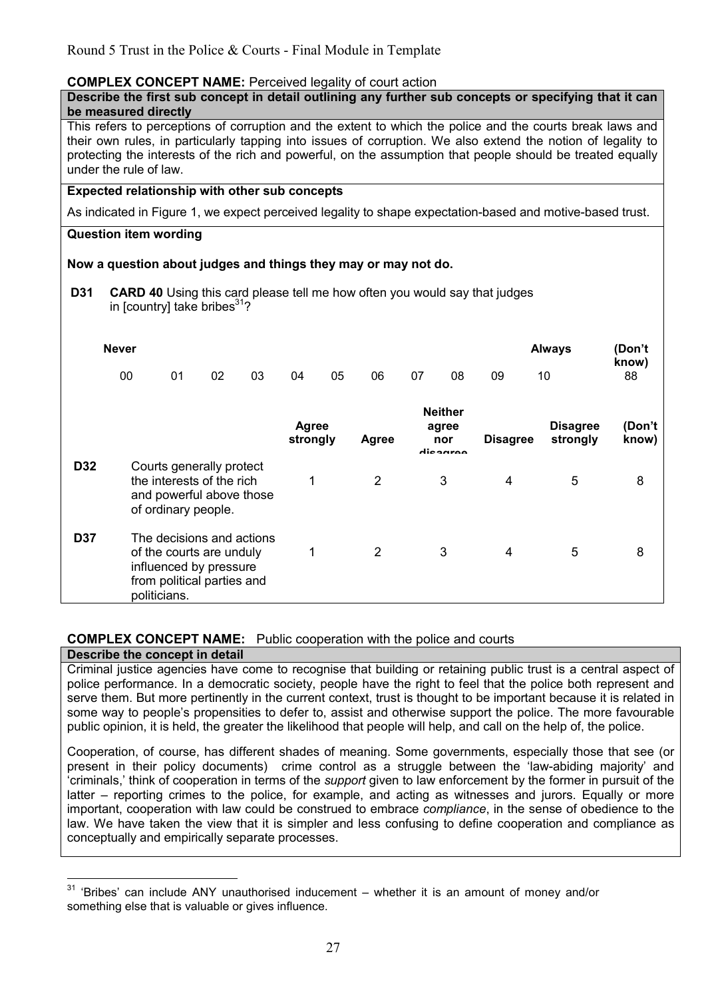## **COMPLEX CONCEPT NAME:** Perceived legality of court action

#### **Describe the first sub concept in detail outlining any further sub concepts or specifying that it can be measured directly**

This refers to perceptions of corruption and the extent to which the police and the courts break laws and their own rules, in particularly tapping into issues of corruption. We also extend the notion of legality to protecting the interests of the rich and powerful, on the assumption that people should be treated equally under the rule of law.

## **Expected relationship with other sub concepts**

As indicated in Figure 1, we expect perceived legality to shape expectation-based and motive-based trust.

#### **Question item wording**

#### **Now a question about judges and things they may or may not do.**

**D31 CARD 40** Using this card please tell me how often you would say that judges in [country] take bribes $31$ ?

|            | <b>Never</b> |                                                                                                                               |    |    |                          |    |                |    |                                            |                 | <b>Always</b>               | (Don't<br>know) |
|------------|--------------|-------------------------------------------------------------------------------------------------------------------------------|----|----|--------------------------|----|----------------|----|--------------------------------------------|-----------------|-----------------------------|-----------------|
|            | 00           | 01                                                                                                                            | 02 | 03 | 04                       | 05 | 06             | 07 | 08                                         | 09              | 10                          | 88              |
|            |              |                                                                                                                               |    |    | <b>Agree</b><br>strongly |    | Agree          |    | <b>Neither</b><br>agree<br>nor<br>dicoaroo | <b>Disagree</b> | <b>Disagree</b><br>strongly | (Don't<br>know) |
| D32        |              | Courts generally protect<br>the interests of the rich<br>and powerful above those<br>of ordinary people.                      |    |    | 1                        |    | $\overline{2}$ |    | 3                                          | 4               | 5                           | 8               |
| <b>D37</b> |              | The decisions and actions<br>of the courts are unduly<br>influenced by pressure<br>from political parties and<br>politicians. |    |    | 1                        |    | $\overline{2}$ |    | 3                                          | $\overline{4}$  | 5                           | 8               |

## **COMPLEX CONCEPT NAME:** Public cooperation with the police and courts

#### **Describe the concept in detail**

Criminal justice agencies have come to recognise that building or retaining public trust is a central aspect of police performance. In a democratic society, people have the right to feel that the police both represent and serve them. But more pertinently in the current context, trust is thought to be important because it is related in some way to people's propensities to defer to, assist and otherwise support the police. The more favourable public opinion, it is held, the greater the likelihood that people will help, and call on the help of, the police.

Cooperation, of course, has different shades of meaning. Some governments, especially those that see (or present in their policy documents) crime control as a struggle between the 'law-abiding majority' and 'criminals,' think of cooperation in terms of the *support* given to law enforcement by the former in pursuit of the latter – reporting crimes to the police, for example, and acting as witnesses and jurors. Equally or more important, cooperation with law could be construed to embrace *compliance*, in the sense of obedience to the law. We have taken the view that it is simpler and less confusing to define cooperation and compliance as conceptually and empirically separate processes.

 $\overline{a}$  $31$  'Bribes' can include ANY unauthorised inducement – whether it is an amount of money and/or something else that is valuable or gives influence.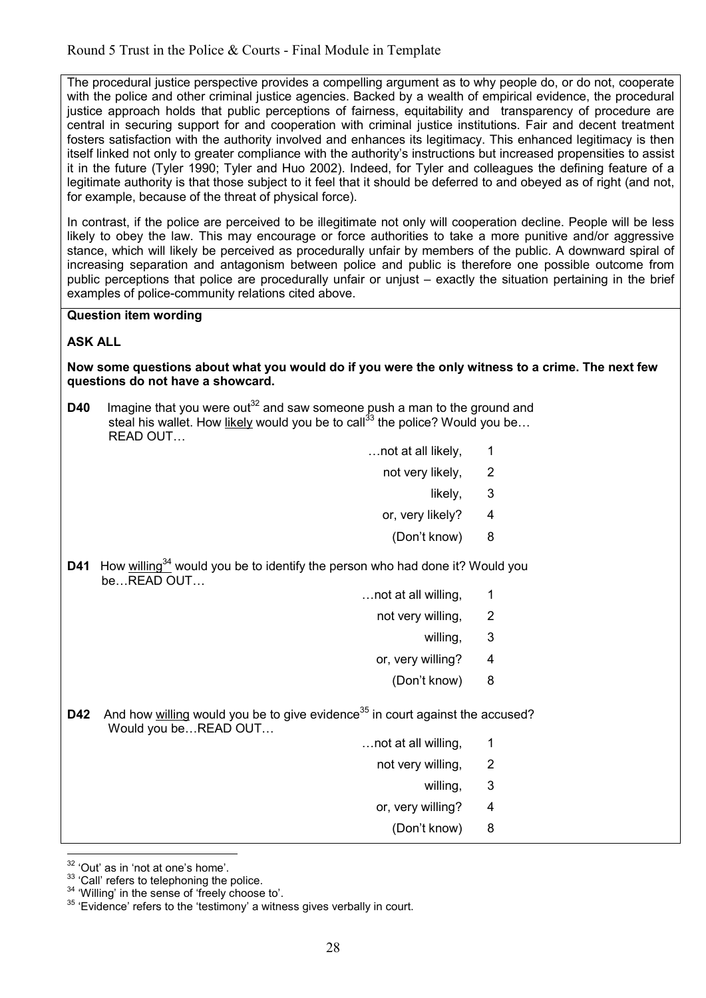The procedural justice perspective provides a compelling argument as to why people do, or do not, cooperate with the police and other criminal justice agencies. Backed by a wealth of empirical evidence, the procedural justice approach holds that public perceptions of fairness, equitability and transparency of procedure are central in securing support for and cooperation with criminal justice institutions. Fair and decent treatment fosters satisfaction with the authority involved and enhances its legitimacy. This enhanced legitimacy is then itself linked not only to greater compliance with the authority's instructions but increased propensities to assist it in the future (Tyler 1990; Tyler and Huo 2002). Indeed, for Tyler and colleagues the defining feature of a legitimate authority is that those subject to it feel that it should be deferred to and obeyed as of right (and not, for example, because of the threat of physical force).

In contrast, if the police are perceived to be illegitimate not only will cooperation decline. People will be less likely to obey the law. This may encourage or force authorities to take a more punitive and/or aggressive stance, which will likely be perceived as procedurally unfair by members of the public. A downward spiral of increasing separation and antagonism between police and public is therefore one possible outcome from public perceptions that police are procedurally unfair or unjust – exactly the situation pertaining in the brief examples of police-community relations cited above.

#### **Question item wording**

#### **ASK ALL**

#### **Now some questions about what you would do if you were the only witness to a crime. The next few questions do not have a showcard.**

**D40** Imagine that you were out<sup>32</sup> and saw someone push a man to the ground and steal his wallet. How likely would you be to call<sup>33</sup> the police? Would you be... READ OUT...

- $\dots$  not at all likely.  $1$ 
	- not very likely, 2
- likely, 3
	- or, very likely? 4
		- (Don't know) 8
- **D41** How willing<sup>34</sup> would you be to identify the person who had done it? Would you  $be...$ **READ OUT...** 
	- $\dots$  not at all willing,  $1$ 
		- not very willing, 2
- willing, 3 and 3 and 3 and 3 and 3 and 3 and 3 and 3 and 3 and 3 and 3 and 3 and 3 and 3 and 3 and 3  $\,$ 
	- or, very willing? 4
		- (Don't know) 8

**D42** And how willing would you be to give evidence<sup>35</sup> in court against the accused? Would you be...READ OUT...

- $\ldots$  not at all willing, 1
	- not very willing, 2
- willing, 3 and 3 and 3 and 3 and 3 and 3 and 3 and 3 and 3 and 3 and 3 and 3 and 3 and 3 and 3 and 3  $\,$ 
	- or, very willing? 4
		- (Don't know) 8

-

 $32$  'Out' as in 'not at one's home'.

<sup>&</sup>lt;sup>33</sup> 'Call' refers to telephoning the police.

<sup>&</sup>lt;sup>34</sup> 'Willing' in the sense of 'freely choose to'.

<sup>&</sup>lt;sup>35</sup> 'Evidence' refers to the 'testimony' a witness gives verbally in court.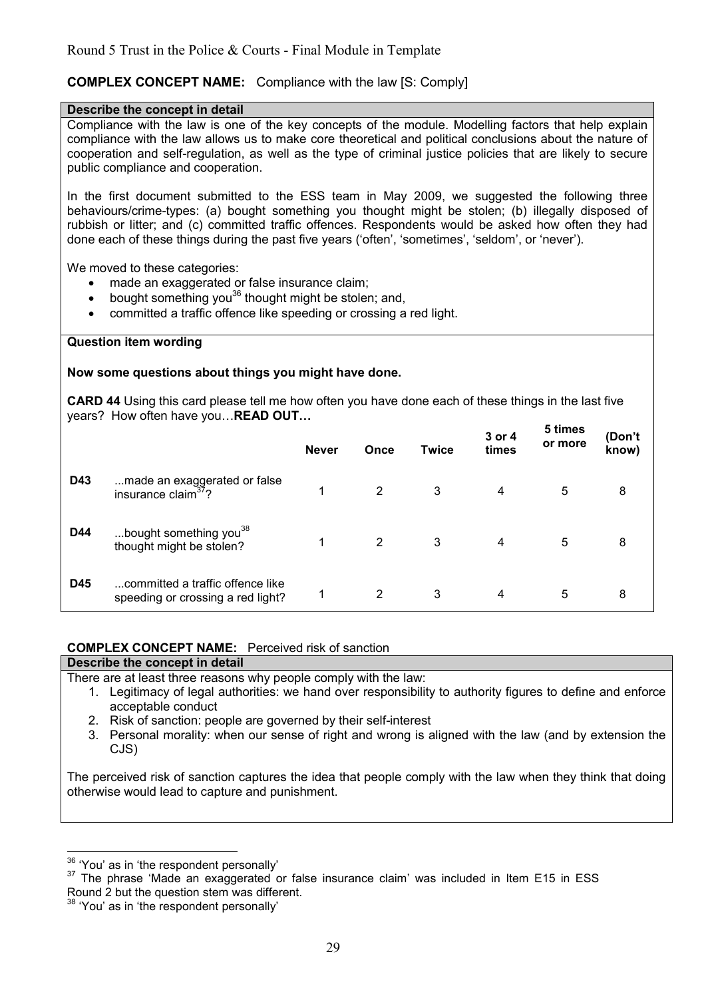## **COMPLEX CONCEPT NAME:** Compliance with the law [S: Comply]

#### **Describe the concept in detail**

Compliance with the law is one of the key concepts of the module. Modelling factors that help explain compliance with the law allows us to make core theoretical and political conclusions about the nature of cooperation and self-regulation, as well as the type of criminal justice policies that are likely to secure public compliance and cooperation.

In the first document submitted to the ESS team in May 2009, we suggested the following three behaviours/crime-types: (a) bought something you thought might be stolen; (b) illegally disposed of rubbish or litter; and (c) committed traffic offences. Respondents would be asked how often they had done each of these things during the past five years ('often', 'sometimes', 'seldom', or 'never').

We moved to these categories:

- made an exaggerated or false insurance claim;
- bought something you<sup>36</sup> thought might be stolen; and,
- committed a traffic offence like speeding or crossing a red light.

#### **Question item wording**

#### **Now some questions about things you might have done.**

**CARD 44** Using this card please tell me how often you have done each of these things in the last five vears? How often have you... **READ OUT...** 

|     |                                                                       | <b>Never</b> | Once | <b>Twice</b> | 3 or 4<br>times | 5 times<br>or more | (Don't<br>know) |
|-----|-----------------------------------------------------------------------|--------------|------|--------------|-----------------|--------------------|-----------------|
| D43 | made an exaggerated or false<br>insurance claim <sup>37</sup> ?       | 1            | 2    | 3            | 4               | 5                  | 8               |
| D44 | bought something you <sup>38</sup><br>thought might be stolen?        |              | 2    | 3            | 4               | 5                  | 8               |
| D45 | committed a traffic offence like<br>speeding or crossing a red light? | 1            | 2    | 3            | 4               | 5                  | 8               |

#### **COMPLEX CONCEPT NAME:** Perceived risk of sanction

| Describe the concept in detail                                                                             |
|------------------------------------------------------------------------------------------------------------|
| There are at least three reasons why people comply with the law:                                           |
| 1. Legitimacy of legal authorities: we hand over responsibility to authority figures to define and enforce |
| acceptable conduct                                                                                         |

- 2. Risk of sanction: people are governed by their self-interest
- 3. Personal morality: when our sense of right and wrong is aligned with the law (and by extension the CJS)

The perceived risk of sanction captures the idea that people comply with the law when they think that doing otherwise would lead to capture and punishment.

 $\overline{a}$ 

 $\frac{36}{12}$  'You' as in 'the respondent personally'

 $37$  The phrase 'Made an exaggerated or false insurance claim' was included in Item E15 in ESS Round 2 but the question stem was different.

<sup>38</sup> 'You' as in 'the respondent personally'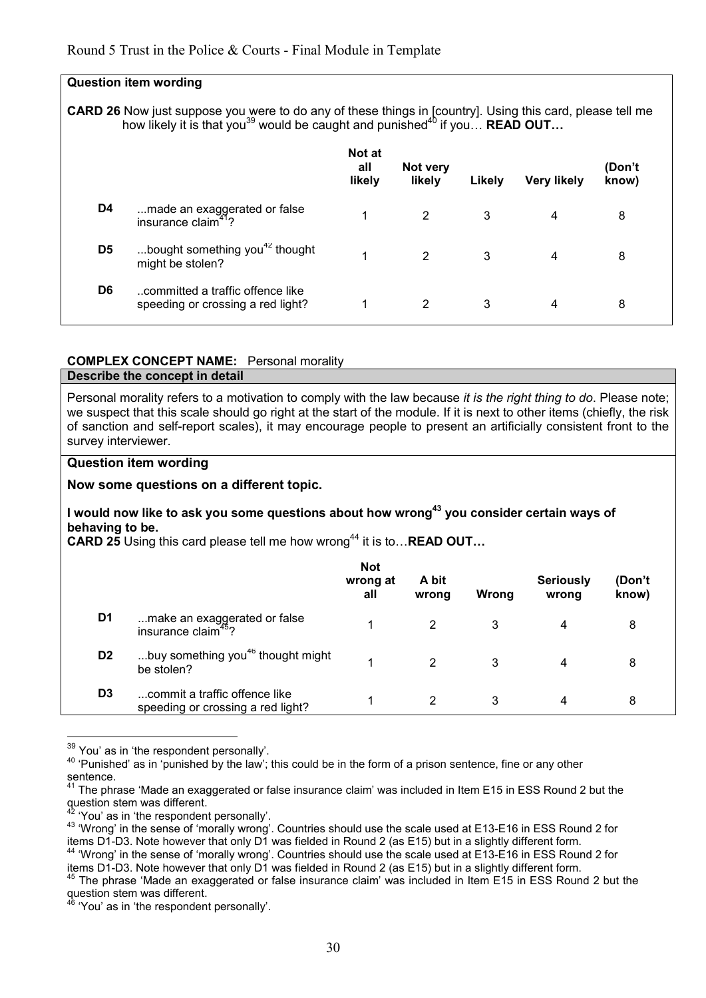|                | <b>Question item wording</b>                                                                                                                                                                                                  |                                |                    |        |                    |                 |
|----------------|-------------------------------------------------------------------------------------------------------------------------------------------------------------------------------------------------------------------------------|--------------------------------|--------------------|--------|--------------------|-----------------|
|                | <b>CARD 26</b> Now just suppose you were to do any of these things in [country]. Using this card, please tell me<br>how likely it is that you <sup>39</sup> would be caught and punished <sup>40</sup> if you <b>READ OUT</b> |                                |                    |        |                    |                 |
|                |                                                                                                                                                                                                                               | <b>Not at</b><br>all<br>likely | Not very<br>likely | Likely | <b>Very likely</b> | (Don't<br>know) |
| D4             | made an exaggerated or false<br>insurance claim <sup><math>41</math></sup> ?                                                                                                                                                  | 1                              | 2                  | 3      | 4                  | 8               |
| D <sub>5</sub> | bought something you <sup>42</sup> thought<br>might be stolen?                                                                                                                                                                | 1                              | 2                  | 3      | 4                  | 8               |
| D <sub>6</sub> | committed a traffic offence like<br>speeding or crossing a red light?                                                                                                                                                         | 1                              | 2                  | 3      | 4                  | 8               |

#### **COMPLEX CONCEPT NAME:** Personal morality

#### **Describe the concept in detail**

Personal morality refers to a motivation to comply with the law because *it is the right thing to do*. Please note; we suspect that this scale should go right at the start of the module. If it is next to other items (chiefly, the risk of sanction and self-report scales), it may encourage people to present an artificially consistent front to the survey interviewer.

#### **Question item wording**

#### **Now some questions on a different topic.**

#### **I would now like to ask you some questions about how wrong<sup>43</sup> you consider certain ways of behaving to be.**

**CARD 25** Using this card please tell me how wrong<sup>44</sup> it is to... **READ OUT...** 

|                |                                                                    | <b>Not</b><br>wrong at<br>all | A bit<br>wrong | Wrong | <b>Seriously</b><br>wrong | (Don't<br>know) |
|----------------|--------------------------------------------------------------------|-------------------------------|----------------|-------|---------------------------|-----------------|
| D1             | make an exaggerated or false<br>insurance claim <sup>45</sup> ?    |                               |                |       | 4                         | 8               |
| D <sub>2</sub> | buy something you <sup>46</sup> thought might<br>be stolen?        |                               | 2              | 3     | 4                         | 8               |
| D <sub>3</sub> | commit a traffic offence like<br>speeding or crossing a red light? |                               | 2              | 3     | 4                         | 8               |

 $\overline{a}$ <sup>39</sup> You' as in 'the respondent personally'.

<sup>&</sup>lt;sup>40</sup> 'Punished' as in 'punished by the law'; this could be in the form of a prison sentence, fine or any other sentence.

 $41$  The phrase 'Made an exaggerated or false insurance claim' was included in Item E15 in ESS Round 2 but the question stem was different.

<sup>&</sup>lt;sup>42</sup> 'You' as in 'the respondent personally'.

<sup>43</sup> 'Wrong' in the sense of 'morally wrong'. Countries should use the scale used at E13-E16 in ESS Round 2 for items D1-D3. Note however that only D1 was fielded in Round 2 (as E15) but in a slightly different form. <sup>44</sup> 'Wrong' in the sense of 'morally wrong'. Countries should use the scale used at E13-E16 in ESS Round 2 for items D1-D3. Note however that only D1 was fielded in Round 2 (as E15) but in a slightly different form.

<sup>&</sup>lt;sup>45</sup> The phrase 'Made an exaggerated or false insurance claim' was included in Item E15 in ESS Round 2 but the question stem was different.

<sup>&#</sup>x27;You' as in 'the respondent personally'.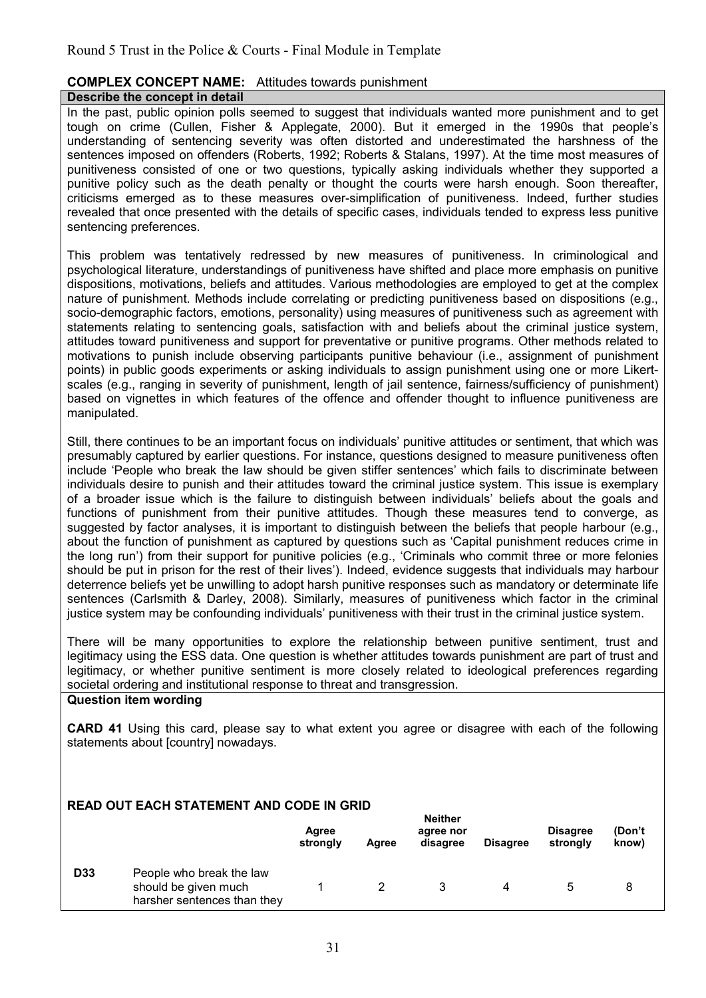# **COMPLEX CONCEPT NAME:** Attitudes towards punishment

## **Describe the concept in detail**

In the past, public opinion polls seemed to suggest that individuals wanted more punishment and to get tough on crime (Cullen, Fisher & Applegate, 2000). But it emerged in the 1990s that people's understanding of sentencing severity was often distorted and underestimated the harshness of the sentences imposed on offenders (Roberts, 1992; Roberts & Stalans, 1997). At the time most measures of punitiveness consisted of one or two questions, typically asking individuals whether they supported a punitive policy such as the death penalty or thought the courts were harsh enough. Soon thereafter, criticisms emerged as to these measures over-simplification of punitiveness. Indeed, further studies revealed that once presented with the details of specific cases, individuals tended to express less punitive sentencing preferences.

This problem was tentatively redressed by new measures of punitiveness. In criminological and psychological literature, understandings of punitiveness have shifted and place more emphasis on punitive dispositions, motivations, beliefs and attitudes. Various methodologies are employed to get at the complex nature of punishment. Methods include correlating or predicting punitiveness based on dispositions (e.g., socio-demographic factors, emotions, personality) using measures of punitiveness such as agreement with statements relating to sentencing goals, satisfaction with and beliefs about the criminal justice system, attitudes toward punitiveness and support for preventative or punitive programs. Other methods related to motivations to punish include observing participants punitive behaviour (i.e., assignment of punishment points) in public goods experiments or asking individuals to assign punishment using one or more Likertscales (e.g., ranging in severity of punishment, length of jail sentence, fairness/sufficiency of punishment) based on vignettes in which features of the offence and offender thought to influence punitiveness are manipulated.

Still, there continues to be an important focus on individuals' punitive attitudes or sentiment, that which was presumably captured by earlier questions. For instance, questions designed to measure punitiveness often include 'People who break the law should be given stiffer sentences' which fails to discriminate between individuals desire to punish and their attitudes toward the criminal justice system. This issue is exemplary of a broader issue which is the failure to distinguish between individuals' beliefs about the goals and functions of punishment from their punitive attitudes. Though these measures tend to converge, as suggested by factor analyses, it is important to distinguish between the beliefs that people harbour (e.g., about the function of punishment as captured by questions such as 'Capital punishment reduces crime in the long run') from their support for punitive policies (e.g., 'Criminals who commit three or more felonies should be put in prison for the rest of their lives'). Indeed, evidence suggests that individuals may harbour deterrence beliefs yet be unwilling to adopt harsh punitive responses such as mandatory or determinate life sentences (Carlsmith & Darley, 2008). Similarly, measures of punitiveness which factor in the criminal justice system may be confounding individuals' punitiveness with their trust in the criminal justice system.

There will be many opportunities to explore the relationship between punitive sentiment, trust and legitimacy using the ESS data. One question is whether attitudes towards punishment are part of trust and legitimacy, or whether punitive sentiment is more closely related to ideological preferences regarding societal ordering and institutional response to threat and transgression.

#### **Question item wording**

**CARD 41** Using this card, please say to what extent you agree or disagree with each of the following statements about [country] nowadays.

## **READ OUT EACH STATEMENT AND CODE IN GRID**

|            |                                                                                 | Agree<br>strongly | Aaree | neither<br>agree nor<br>disagree | <b>Disagree</b> | <b>Disagree</b><br>strongly | (Don't<br>know) |  |
|------------|---------------------------------------------------------------------------------|-------------------|-------|----------------------------------|-----------------|-----------------------------|-----------------|--|
| <b>D33</b> | People who break the law<br>should be given much<br>harsher sentences than they |                   |       |                                  | 4               |                             |                 |  |

**Neither**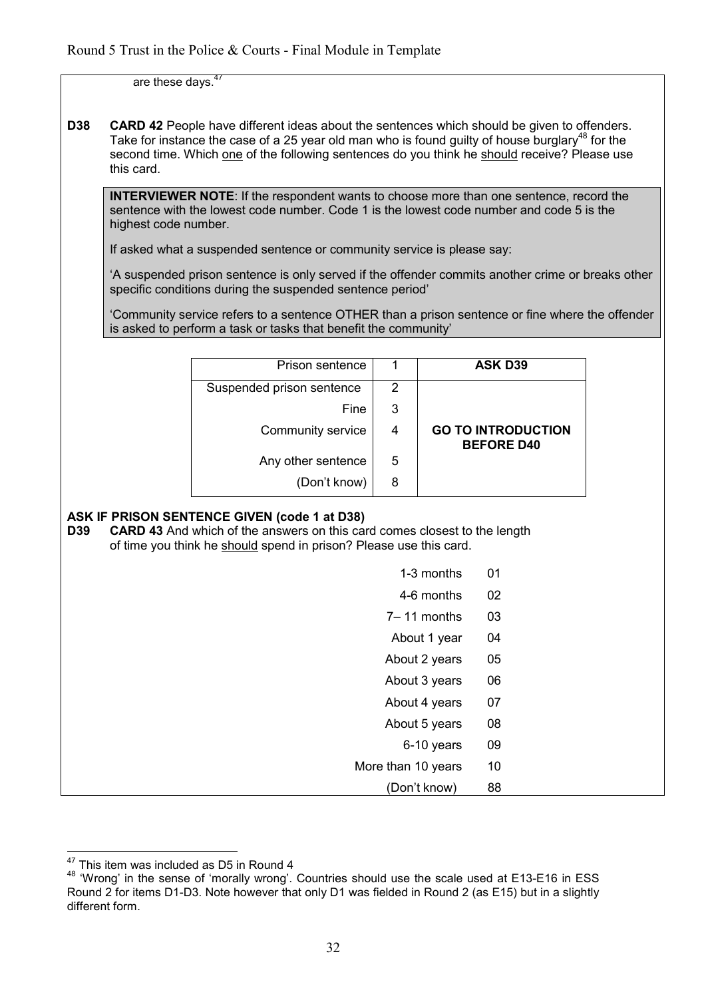are these days. $47$ 

**D38 CARD 42** People have different ideas about the sentences which should be given to offenders. Take for instance the case of a 25 year old man who is found guilty of house burglary<sup>48</sup> for the second time. Which one of the following sentences do you think he should receive? Please use this card.

**INTERVIEWER NOTE**: If the respondent wants to choose more than one sentence, record the sentence with the lowest code number. Code 1 is the lowest code number and code 5 is the highest code number.

If asked what a suspended sentence or community service is please say:

'A suspended prison sentence is only served if the offender commits another crime or breaks other specific conditions during the suspended sentence period'

'Community service refers to a sentence OTHER than a prison sentence or fine where the offender is asked to perform a task or tasks that benefit the community'

| <b>ASK D39</b>                                 |
|------------------------------------------------|
|                                                |
|                                                |
| <b>GO TO INTRODUCTION</b><br><b>BEFORE D40</b> |
|                                                |
|                                                |
|                                                |

# **ASK IF PRISON SENTENCE GIVEN (code 1 at D38)**

**D39 CARD 43** And which of the answers on this card comes closest to the length of time you think he should spend in prison? Please use this card.

| or time you trillik he should spend in prison? Please use this card. |    |
|----------------------------------------------------------------------|----|
| 1-3 months                                                           | 01 |
| 4-6 months                                                           | 02 |
| 7-11 months                                                          | 03 |
| About 1 year                                                         | 04 |
| About 2 years                                                        | 05 |
| About 3 years                                                        | 06 |
| About 4 years                                                        | 07 |
| About 5 years                                                        | 08 |
| 6-10 years                                                           | 09 |
| More than 10 years                                                   | 10 |
| (Don't know)                                                         | 88 |

 $\overline{\phantom{a}}$  $^{47}_{1}$  This item was included as D5 in Round 4

<sup>48</sup> 'Wrong' in the sense of 'morally wrong'. Countries should use the scale used at E13-E16 in ESS Round 2 for items D1-D3. Note however that only D1 was fielded in Round 2 (as E15) but in a slightly different form.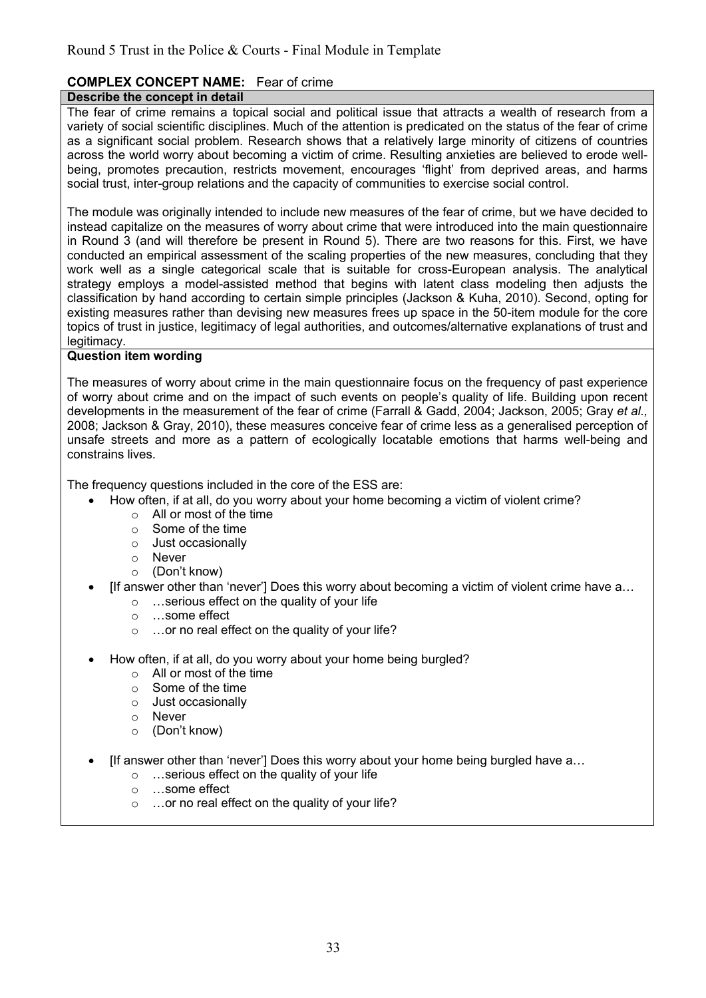# **COMPLEX CONCEPT NAME:** Fear of crime

## **Describe the concept in detail**

The fear of crime remains a topical social and political issue that attracts a wealth of research from a variety of social scientific disciplines. Much of the attention is predicated on the status of the fear of crime as a significant social problem. Research shows that a relatively large minority of citizens of countries across the world worry about becoming a victim of crime. Resulting anxieties are believed to erode wellbeing, promotes precaution, restricts movement, encourages 'flight' from deprived areas, and harms social trust, inter-group relations and the capacity of communities to exercise social control.

The module was originally intended to include new measures of the fear of crime, but we have decided to instead capitalize on the measures of worry about crime that were introduced into the main questionnaire in Round 3 (and will therefore be present in Round 5). There are two reasons for this. First, we have conducted an empirical assessment of the scaling properties of the new measures, concluding that they work well as a single categorical scale that is suitable for cross-European analysis. The analytical strategy employs a model-assisted method that begins with latent class modeling then adjusts the classification by hand according to certain simple principles (Jackson & Kuha, 2010). Second, opting for existing measures rather than devising new measures frees up space in the 50-item module for the core topics of trust in justice, legitimacy of legal authorities, and outcomes/alternative explanations of trust and legitimacy.

#### **Question item wording**

The measures of worry about crime in the main questionnaire focus on the frequency of past experience of worry about crime and on the impact of such events on people's quality of life. Building upon recent developments in the measurement of the fear of crime (Farrall & Gadd, 2004; Jackson, 2005; Gray *et al.,*  2008; Jackson & Gray, 2010), these measures conceive fear of crime less as a generalised perception of unsafe streets and more as a pattern of ecologically locatable emotions that harms well-being and constrains lives.

The frequency questions included in the core of the ESS are:

- How often, if at all, do you worry about your home becoming a victim of violent crime?
	- o All or most of the time
	- o Some of the time
	- o Just occasionally
	- o Never
	- o (Don't know)
- [If answer other than 'never'] Does this worry about becoming a victim of violent crime have a...
	- $\circ$  ... serious effect on the quality of your life
	- $\circ$  ...some effect
	- $\circ$  ... or no real effect on the quality of your life?
- How often, if at all, do you worry about your home being burgled?
	- o All or most of the time
	- o Some of the time
	- o Just occasionally
	- o Never
	- o (Don't know)
- If answer other than 'never'] Does this worry about your home being burgled have  $a_{\cdots}$ 
	- $\circ$  ... serious effect on the quality of your life
	- o ...some effect
	- $\circ$  ... or no real effect on the quality of your life?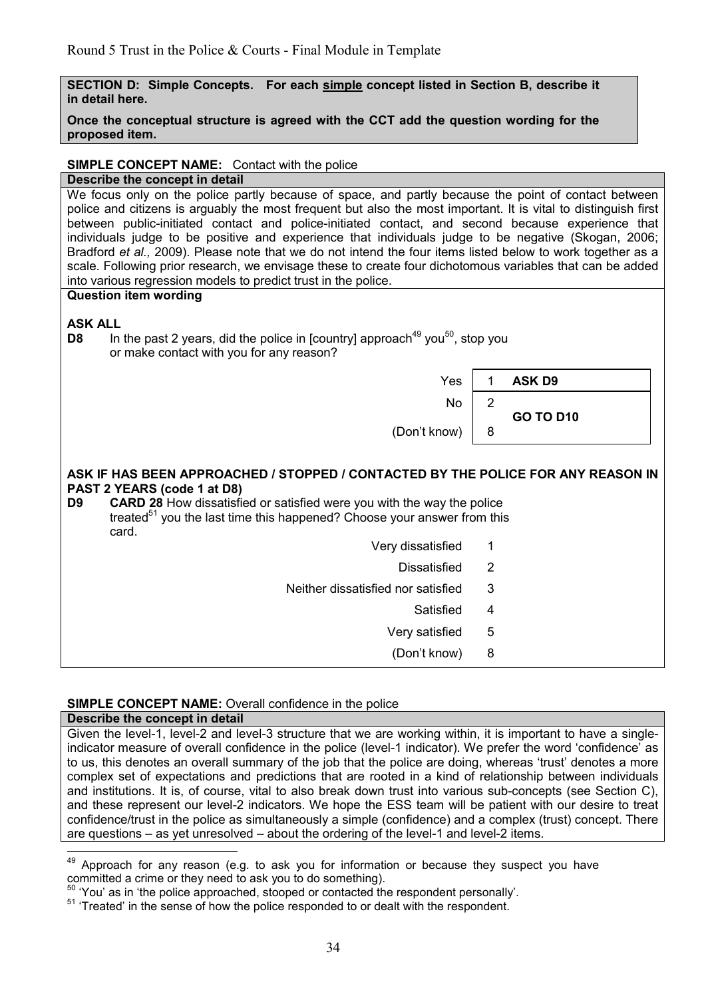| SECTION D: Simple Concepts. For each simple concept listed in Section B, describe it<br>in detail here.                                                                                                                                                                                                                                                                                                                                                                                                                                                                                                                                                          |                               |  |  |  |
|------------------------------------------------------------------------------------------------------------------------------------------------------------------------------------------------------------------------------------------------------------------------------------------------------------------------------------------------------------------------------------------------------------------------------------------------------------------------------------------------------------------------------------------------------------------------------------------------------------------------------------------------------------------|-------------------------------|--|--|--|
| Once the conceptual structure is agreed with the CCT add the question wording for the<br>proposed item.                                                                                                                                                                                                                                                                                                                                                                                                                                                                                                                                                          |                               |  |  |  |
| <b>SIMPLE CONCEPT NAME:</b> Contact with the police                                                                                                                                                                                                                                                                                                                                                                                                                                                                                                                                                                                                              |                               |  |  |  |
| Describe the concept in detail                                                                                                                                                                                                                                                                                                                                                                                                                                                                                                                                                                                                                                   |                               |  |  |  |
| We focus only on the police partly because of space, and partly because the point of contact between<br>police and citizens is arguably the most frequent but also the most important. It is vital to distinguish first<br>between public-initiated contact and police-initiated contact, and second because experience that<br>individuals judge to be positive and experience that individuals judge to be negative (Skogan, 2006;<br>Bradford et al., 2009). Please note that we do not intend the four items listed below to work together as a<br>scale. Following prior research, we envisage these to create four dichotomous variables that can be added |                               |  |  |  |
| into various regression models to predict trust in the police.<br><b>Question item wording</b>                                                                                                                                                                                                                                                                                                                                                                                                                                                                                                                                                                   |                               |  |  |  |
| <b>ASK ALL</b><br>In the past 2 years, did the police in [country] approach <sup>49</sup> you <sup>50</sup> , stop you<br>D <sub>8</sub><br>or make contact with you for any reason?                                                                                                                                                                                                                                                                                                                                                                                                                                                                             |                               |  |  |  |
| Yes                                                                                                                                                                                                                                                                                                                                                                                                                                                                                                                                                                                                                                                              | <b>ASK D9</b><br>$\mathbf{1}$ |  |  |  |
| <b>No</b>                                                                                                                                                                                                                                                                                                                                                                                                                                                                                                                                                                                                                                                        | 2<br><b>GO TO D10</b>         |  |  |  |
| (Don't know)                                                                                                                                                                                                                                                                                                                                                                                                                                                                                                                                                                                                                                                     | 8                             |  |  |  |
| ASK IF HAS BEEN APPROACHED / STOPPED / CONTACTED BY THE POLICE FOR ANY REASON IN<br>PAST 2 YEARS (code 1 at D8)<br><b>CARD 28</b> How dissatisfied or satisfied were you with the way the police<br>D <sub>9</sub><br>treated <sup>51</sup> you the last time this happened? Choose your answer from this<br>card.                                                                                                                                                                                                                                                                                                                                               |                               |  |  |  |
| Very dissatisfied                                                                                                                                                                                                                                                                                                                                                                                                                                                                                                                                                                                                                                                | 1                             |  |  |  |
| <b>Dissatisfied</b>                                                                                                                                                                                                                                                                                                                                                                                                                                                                                                                                                                                                                                              | $\overline{2}$                |  |  |  |
| Neither dissatisfied nor satisfied                                                                                                                                                                                                                                                                                                                                                                                                                                                                                                                                                                                                                               | 3                             |  |  |  |
| Satisfied                                                                                                                                                                                                                                                                                                                                                                                                                                                                                                                                                                                                                                                        | $\overline{\mathbf{4}}$       |  |  |  |
|                                                                                                                                                                                                                                                                                                                                                                                                                                                                                                                                                                                                                                                                  |                               |  |  |  |
| Very satisfied                                                                                                                                                                                                                                                                                                                                                                                                                                                                                                                                                                                                                                                   | 5                             |  |  |  |
| (Don't know)                                                                                                                                                                                                                                                                                                                                                                                                                                                                                                                                                                                                                                                     | 8                             |  |  |  |

#### **SIMPLE CONCEPT NAME:** Overall confidence in the police

#### **Describe the concept in detail**

 $\overline{\phantom{a}}$ 

Given the level-1, level-2 and level-3 structure that we are working within, it is important to have a singleindicator measure of overall confidence in the police (level-1 indicator). We prefer the word 'confidence' as to us, this denotes an overall summary of the job that the police are doing, whereas 'trust' denotes a more complex set of expectations and predictions that are rooted in a kind of relationship between individuals and institutions. It is, of course, vital to also break down trust into various sub-concepts (see Section C), and these represent our level-2 indicators. We hope the ESS team will be patient with our desire to treat confidence/trust in the police as simultaneously a simple (confidence) and a complex (trust) concept. There are questions – as yet unresolved – about the ordering of the level-1 and level-2 items.

<sup>&</sup>lt;sup>49</sup> Approach for any reason (e.g. to ask you for information or because they suspect you have committed a crime or they need to ask you to do something).

<sup>50</sup> 'You' as in 'the police approached, stooped or contacted the respondent personally'.

<sup>&</sup>lt;sup>51</sup> 'Treated' in the sense of how the police responded to or dealt with the respondent.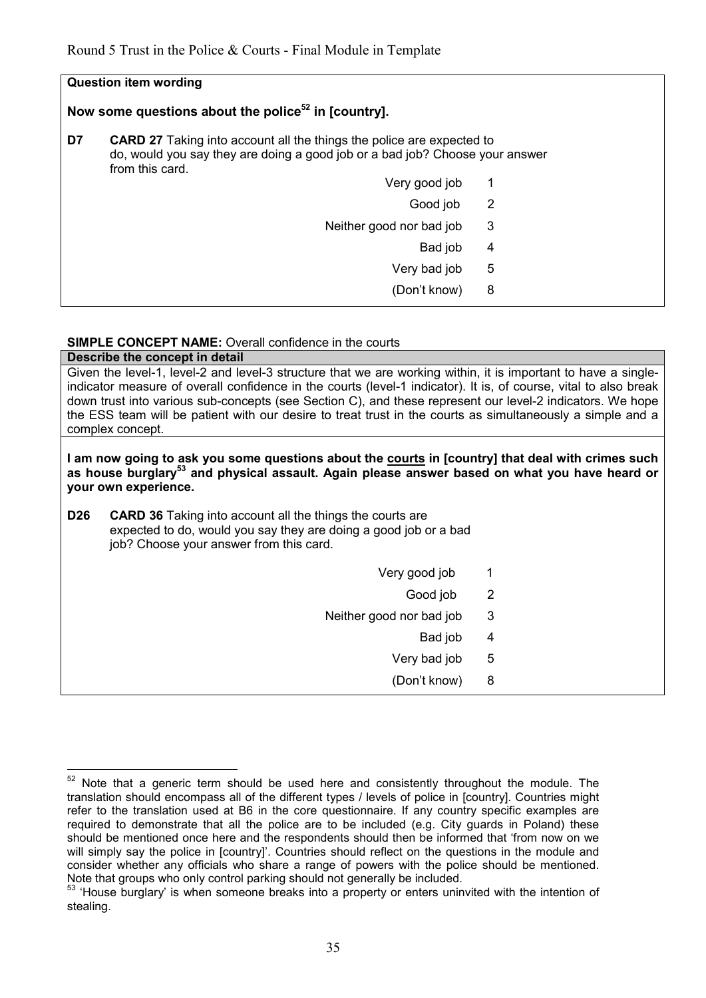| <b>Question item wording</b>                                    |                                                                                                                                                                                 |                            |  |  |
|-----------------------------------------------------------------|---------------------------------------------------------------------------------------------------------------------------------------------------------------------------------|----------------------------|--|--|
| Now some questions about the police <sup>52</sup> in [country]. |                                                                                                                                                                                 |                            |  |  |
| D7                                                              | <b>CARD 27</b> Taking into account all the things the police are expected to<br>do, would you say they are doing a good job or a bad job? Choose your answer<br>from this card. |                            |  |  |
|                                                                 | Very good job                                                                                                                                                                   | 1                          |  |  |
|                                                                 | Good job                                                                                                                                                                        | $\overline{\phantom{0}}^2$ |  |  |
|                                                                 | Neither good nor bad job                                                                                                                                                        | 3                          |  |  |
|                                                                 | Bad job                                                                                                                                                                         | 4                          |  |  |
|                                                                 | Very bad job                                                                                                                                                                    | 5                          |  |  |
|                                                                 | (Don't know)                                                                                                                                                                    | 8                          |  |  |

#### **SIMPLE CONCEPT NAME:** Overall confidence in the courts **Describe the concept in detail**

| Describe the concept in detail                                                                                                                                                                                                                                                                                                                                                                                                                                                    |                          |                |  |  |
|-----------------------------------------------------------------------------------------------------------------------------------------------------------------------------------------------------------------------------------------------------------------------------------------------------------------------------------------------------------------------------------------------------------------------------------------------------------------------------------|--------------------------|----------------|--|--|
| Given the level-1, level-2 and level-3 structure that we are working within, it is important to have a single-<br>indicator measure of overall confidence in the courts (level-1 indicator). It is, of course, vital to also break<br>down trust into various sub-concepts (see Section C), and these represent our level-2 indicators. We hope<br>the ESS team will be patient with our desire to treat trust in the courts as simultaneously a simple and a<br>complex concept. |                          |                |  |  |
| I am now going to ask you some questions about the courts in [country] that deal with crimes such<br>as house burglary <sup>53</sup> and physical assault. Again please answer based on what you have heard or<br>your own experience.                                                                                                                                                                                                                                            |                          |                |  |  |
| D <sub>26</sub><br><b>CARD 36</b> Taking into account all the things the courts are<br>expected to do, would you say they are doing a good job or a bad<br>job? Choose your answer from this card.                                                                                                                                                                                                                                                                                |                          |                |  |  |
|                                                                                                                                                                                                                                                                                                                                                                                                                                                                                   | Very good job            | 1              |  |  |
|                                                                                                                                                                                                                                                                                                                                                                                                                                                                                   | Good job                 | $\overline{2}$ |  |  |
|                                                                                                                                                                                                                                                                                                                                                                                                                                                                                   | Neither good nor bad job | 3              |  |  |
|                                                                                                                                                                                                                                                                                                                                                                                                                                                                                   | Bad job                  | 4              |  |  |
|                                                                                                                                                                                                                                                                                                                                                                                                                                                                                   | Very bad job             | 5              |  |  |
|                                                                                                                                                                                                                                                                                                                                                                                                                                                                                   | (Don't know)             | 8              |  |  |
|                                                                                                                                                                                                                                                                                                                                                                                                                                                                                   |                          |                |  |  |

<sup>52</sup> Note that a generic term should be used here and consistently throughout the module. The translation should encompass all of the different types / levels of police in [country]. Countries might refer to the translation used at B6 in the core questionnaire. If any country specific examples are required to demonstrate that all the police are to be included (e.g. City quards in Poland) these should be mentioned once here and the respondents should then be informed that 'from now on we will simply say the police in [country]'. Countries should reflect on the questions in the module and consider whether any officials who share a range of powers with the police should be mentioned. Note that groups who only control parking should not generally be included.

<sup>&</sup>lt;sup>53</sup> 'House burglary' is when someone breaks into a property or enters uninvited with the intention of stealing.